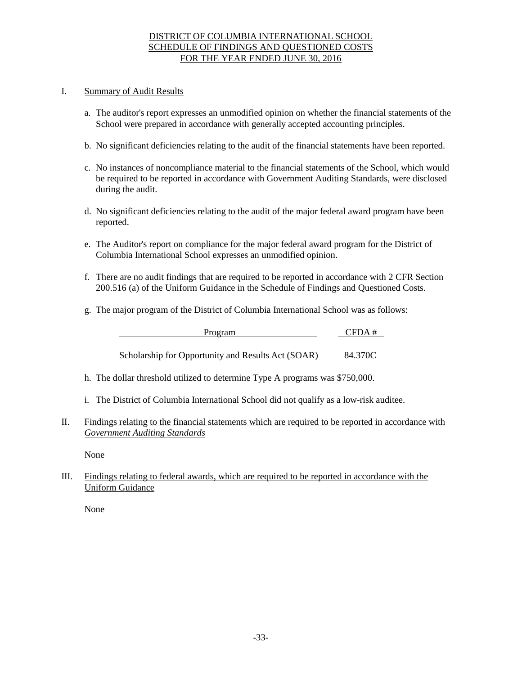DISTRICT OF COLUMBIA INTERNATIONAL SCHOOL

WASHINGTON, D.C.

------------------------------------------- COMPARATIVE AUDIT REPORT

FOR THE YEARS ENDED JUNE 30, 2016 AND 2015

# **KENDALL, PREBOLA AND JONES**

Certified Public Accountants PO BOX 259 BEDFORD, PENNSYLVANIA 15522-0259 (814) 623-1880 FAX (814) 623-7548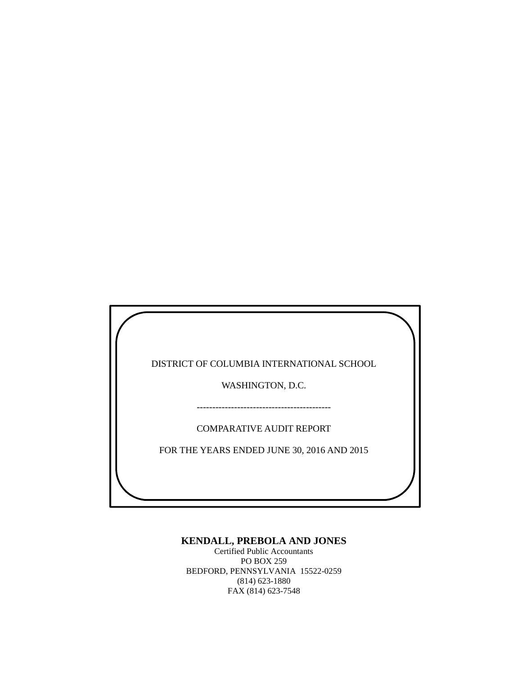# I N D E X

|                                                                                                                                                                                                                          | Page           |
|--------------------------------------------------------------------------------------------------------------------------------------------------------------------------------------------------------------------------|----------------|
| <b>Independent Auditor's Report</b>                                                                                                                                                                                      | $1-2$          |
| Comparative Statements of Financial Position, June 30, 2016 and 2015                                                                                                                                                     | 3              |
| Comparative Statements of Activities, For the Years Ended June 30, 2016 and 2015                                                                                                                                         | $\overline{4}$ |
| Comparative Statements of Cash Flows, For the Years Ended June 30, 2016 and 2015                                                                                                                                         | 5              |
| <b>Notes to Financial Statements</b>                                                                                                                                                                                     | $6 - 22$       |
| Supplemental Information                                                                                                                                                                                                 |                |
| Schedule 1 - Comparative Schedules of Functional Expenses,<br>For the Years Ended June 30, 2016 and 2015                                                                                                                 | 23             |
| Schedule 2 - Comparative Schedules of Average Cost Per Student,<br>For the Years Ended June 30, 2016 and 2015                                                                                                            | 24             |
| Schedule 3 - Schedule of Expenditures of Federal Awards, For the Year Ended<br>June 30, 2016                                                                                                                             | $25 - 26$      |
| Notes to Schedule of Expenditures of Federal Awards                                                                                                                                                                      | 27             |
| Independent Auditor's Report on Internal Control over Financial Reporting<br>and on Compliance and Other Matters Based on an Audit of Financial<br>Statements Performed in Accordance with Government Auditing Standards | 28-29          |
| Independent Auditor's Report on Compliance for Each Major Program and on<br>Internal Control over Compliance Required by the Uniform Guidance                                                                            | $30 - 31$      |
| Summary Schedule of Prior Audit Findings, For the Year Ended June 30, 2016                                                                                                                                               | 32             |
| Schedule of Findings and Questioned Costs, For the Year Ended June 30, 2016                                                                                                                                              | 33             |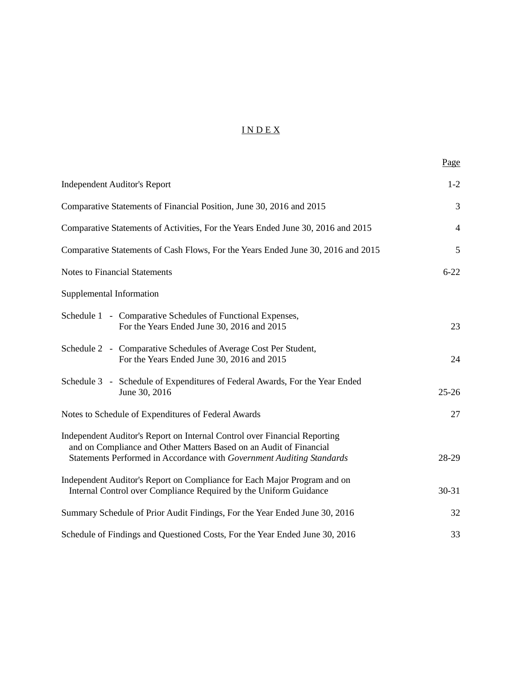Board of Trustees District of Columbia International School 3220 16th Street NW Washington, DC 20010

#### INDEPENDENT AUDITOR'S REPORT

### *Report on the Financial Statements*

We have audited the accompanying financial statements of the District of Columbia International School, (a nonprofit organization) which comprise the statements of financial position as of June 30, 2016 and 2015, and the related statements of activities and cash flows for the years then ended, and the related notes to the financial statements.

#### *Management's Responsibility for the Financial Statements*

Management is responsible for the preparation and fair presentation of these financial statements in accordance with accounting principles generally accepted in the United States of America; this includes the design, implementation, and maintenance of internal control relevant to the preparation and fair presentation of financial statements that are free from material misstatement, whether due to fraud or error.

### *Auditor's Responsibility*

Our responsibility is to express an opinion on these financial statements based on our audits. We conducted our audits in accordance with auditing standards generally accepted in the United States of America and the standards applicable to financial audits contained in *Government Auditing Standards*, issued by the Comptroller General of the United States. Those standards require that we plan and perform the audit to obtain reasonable assurance about whether the financial statements are free from material misstatement.

An audit involves performing procedures to obtain audit evidence about the amounts and disclosures in the financial statements. The procedures selected depend on the auditor's judgment, including the assessment of the risks of material misstatement of the financial statements, whether due to fraud or error. In making those risk assessments, the auditor considers internal control relevant to the entity's preparation and fair presentation of the financial statements in order to design audit procedures that are appropriate in the circumstances, but not for the purpose of expressing an opinion on the effectiveness of the entity's internal control. Accordingly, we express no such opinion. An audit also includes evaluating the appropriateness of accounting policies used and the reasonableness of significant accounting estimates made by management, as well as evaluating the overall presentation of the financial statements.

We believe that the audit evidence we have obtained is sufficient and appropriate to provide a basis for our audit opinion.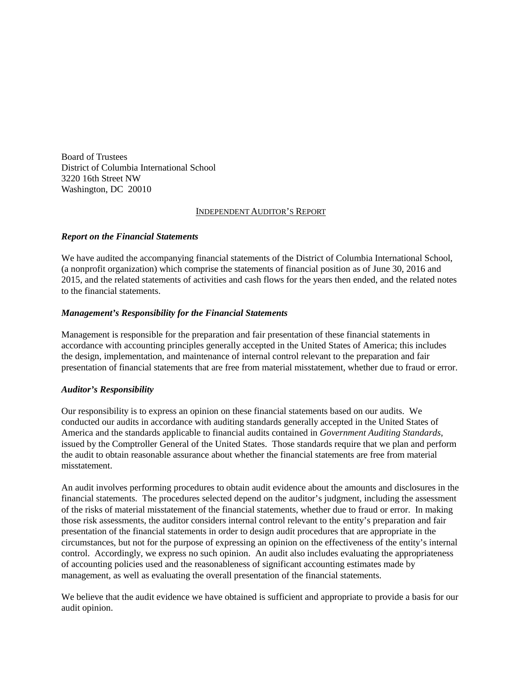## *Opinion*

In our opinion, the financial statements referred to above present fairly, in all material respects, the financial position of the District of Columbia International School as of June 30, 2016 and 2015, and the changes in its net assets and its cash flows for the years then ended in accordance with accounting principles generally accepted in the United States of America.

# *Other Matters*

Our audits were conducted for the purpose of forming an opinion on the financial statements as a whole. The supplemental schedules of functional expenses and schedules of average cost per student are presented for purposes of additional analysis and are not a required part of the financial statements. In addition, the accompanying Schedule of Expenditures of Federal Awards, as required by Title 2 U.S. Code of Federal Regulations (CFR) Part 200, Uniform Administrative Requirements, Cost Principles, and Audit Requirements for Federal Awards, is presented for purposes of additional analysis and is not a required part of the financial statements. Such information is the responsibility of management and was derived from and relates directly to the underlying accounting and other records used to prepare the financial statements. The information has been subjected to the auditing procedures applied in the audit of the financial statements and certain additional procedures, including comparing and reconciling such information directly to the underlying accounting and other records used to prepare the financial statements or to the financial statements themselves, and other additional procedures in accordance with auditing standards generally accepted in the United States of America. In our opinion, the information is fairly stated in all material respects in relation to the financial statements as a whole.

# *Other Reporting Required by Government Auditing Standards*

In accordance with *Government Auditing Standards*, we have also issued our report dated November 22, 2016, on our consideration of the District of Columbia International School's internal control over financial reporting and on our tests of its compliance with certain provisions of laws, regulations, contracts and grant agreements and other matters. The purpose of that report is to describe the scope of our testing of internal control over financial reporting and compliance and the results of that testing, and not to provide an opinion on the internal control over financial reporting or on compliance. That report is an integral part of an audit performed in accordance with *Government Auditing Standards* in considering the District of Columbia International School's internal control over financial reporting and compliance.

> Kendall, Prebola and Jones Certified Public Accountants

Bedford, Pennsylvania November 22, 2016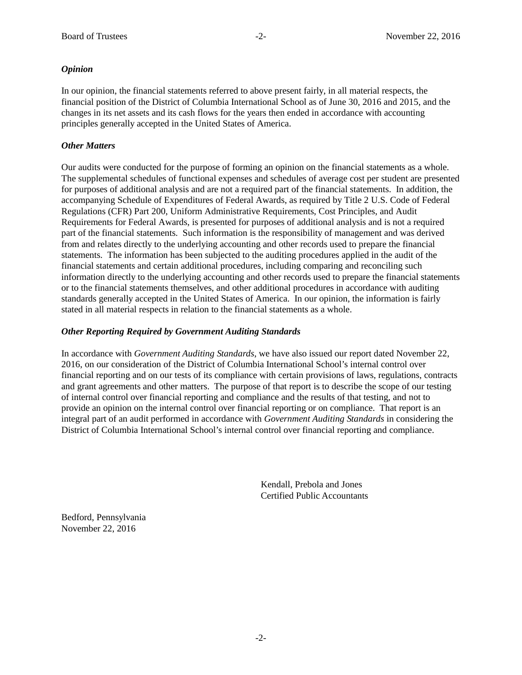# DISTRICT OF COLUMBIA INTERNATIONAL SCHOOL COMPARATIVE STATEMENTS OF FINANCIAL POSITION JUNE 30, 2016 AND 2015

|                                                 | June 30, 2016              | June 30, 2015             |
|-------------------------------------------------|----------------------------|---------------------------|
| <b>ASSETS</b>                                   |                            |                           |
| <b>Current Assets:</b>                          |                            |                           |
| Cash and Cash Equivalents                       | $\mathcal{S}$<br>3,061,008 | \$<br>1,180,735           |
| <b>Accounts Receivable</b>                      | 87,302                     | 26,614                    |
| <b>Grants Receivable</b>                        | 473,794                    | 108,883                   |
| Promises Receivable                             | 5,500                      | 4,010                     |
| Prepaid Expenses                                | 201,945                    | 129,885                   |
| <b>Total Current Assets</b>                     | 3,829,549<br>\$            | 1,450,127<br>\$           |
| <b>Fixed Assets:</b>                            |                            |                           |
| Furniture and Equipment                         | \$<br>247,228              | \$<br>127,444             |
| <b>Computer Equipment</b>                       | 279,711                    | 185,920                   |
| <b>Website Design</b>                           | 4,175                      | 2,875                     |
| Leasehold Improvements                          | 23,616                     | 15,491                    |
| <b>Construction in Progress</b>                 | 1,265,421                  |                           |
| Less: Accumulated Depreciation and Amortization | (173, 248)                 | (54, 807)                 |
| <b>Total Fixed Assets</b>                       | 1,646,903<br>\$            | \$<br>276,923             |
| Other Assets:                                   |                            |                           |
| Deposits                                        | \$<br>75,400               | 82,410<br>\$              |
| Loan Financing Costs, Net                       | 32,500                     |                           |
| <b>Total Other Assets</b>                       | 107,900<br>S               | 82,410                    |
| <b>TOTAL ASSETS</b>                             | 5,584,352<br>\$            | 1,809,460                 |
| <b>LIABILITIES AND NET ASSETS</b>               |                            |                           |
| <b>Current Liabilities:</b>                     |                            |                           |
| <b>Accounts Payable and Accrued Expenses</b>    | \$<br>484,203              | \$<br>64,379              |
| Payroll and Related Liabilities                 | 192,822                    | 102,886                   |
| Deferred Revenue                                |                            | 668                       |
| <b>Total Current Liabilities</b>                | 677,025                    | 167,933<br>\$             |
| <b>Total Liabilities</b>                        | \$<br>677,025              | \$<br>167,933             |
| <b>Net Assets:</b>                              |                            |                           |
| Unrestricted                                    | 4,752,443<br>\$            | 1,641,527<br>\$           |
| <b>Temporarily Restricted</b>                   | 154,884                    |                           |
| <b>Total Net Assets</b>                         | 4,907,327<br>S             | 1,641,527<br>S.           |
| TOTAL LIABILITIES AND NET ASSETS                | 5,584,352                  | 1,809,460<br>$\mathbb{S}$ |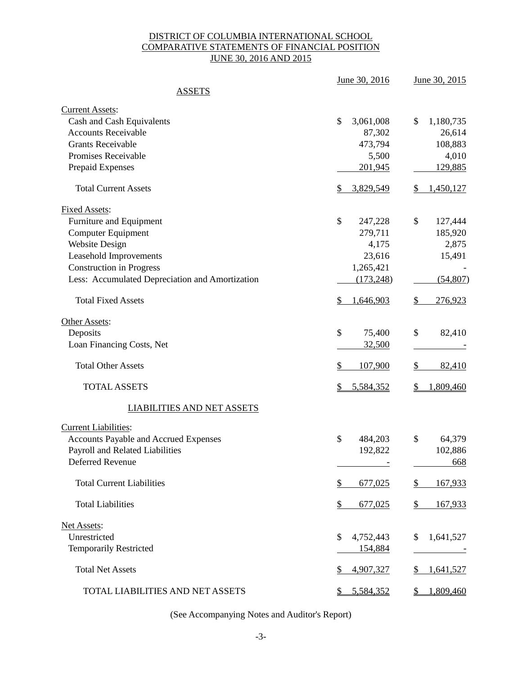## DISTRICT OF COLUMBIA INTERNATIONAL SCHOOL COMPARATIVE STATEMENTS OF ACTIVITIES FOR THE YEARS ENDED JUNE 30, 2016 AND 2015

|                                             | June 30, 2016   |                           |                 |                 |                                |                 |
|---------------------------------------------|-----------------|---------------------------|-----------------|-----------------|--------------------------------|-----------------|
|                                             | Unrestricted    | Temporarily<br>Restricted | Total           | Unrestricted    | Temporarily<br>Restricted      | Total           |
| Revenues and Other Support:                 |                 |                           |                 |                 |                                |                 |
| Per-Pupil Funding Allocation                | \$<br>5,644,445 | \$                        | \$<br>5,644,445 | \$<br>3,003,985 | \$                             | 3,003,985<br>\$ |
| Per-Pupil Funding - Facilities Allowance    | 1,262,096       |                           | 1,262,096       | 645,120         |                                | 645,120         |
| <b>Federal Entitlements and Grants</b>      | 1,766,699       |                           | 1,766,699       | 570,589         |                                | 570,589         |
| <b>State Government Grants</b>              | 53,472          |                           | 53,472          | 5,138           |                                | 5,138           |
| <b>Private Grants and Contributions</b>     | 354,350         | 252,500                   | 606,850         | 317,218         | 100,000                        | 417,218         |
| <b>Student Activity Fees</b>                | 235,404         |                           | 235,404         | 93,957          |                                | 93,957          |
| Interest and Other Income                   | 7,150           |                           | 7,150           |                 |                                |                 |
| <b>Donated Services and Materials</b>       | 2,258           |                           | 2,258           | 45,289          |                                | 45,289          |
| Net Assets Released from Restrictions -     |                 |                           |                 |                 |                                |                 |
| <b>Satisfaction of Program Restrictions</b> | 97,616          | (97,616)                  |                 | 125,628         | (125, 628)                     |                 |
| <b>Total Revenues and Other Support</b>     | 9,423,490       | 154,884                   | 9,578,374<br>\$ | 4,806,924       | (25, 628)                      | 4,781,296       |
| <b>Expenses and Losses:</b>                 |                 |                           |                 |                 |                                |                 |
| <b>Educational Services</b>                 | \$<br>5,665,982 | \$                        | \$<br>5,665,982 | \$<br>3,060,340 | \$<br>$\overline{\phantom{a}}$ | 3,060,340<br>\$ |
| General and Administrative                  | 598,051         |                           | 598,051         | 385,232         |                                | 385,232         |
| Fundraising                                 | 48,541          |                           | 48,541          | 50,274          |                                | 50,274          |
| <b>Total Expenses</b>                       | 6,312,574       |                           | 6,312,574<br>\$ | 3,495,846<br>\$ |                                | 3,495,846       |
| Changes in Net Assets                       | 3,110,916<br>\$ | \$<br>154,884             | \$<br>3,265,800 | \$<br>1,311,078 | \$<br>(25, 628)                | \$<br>1,285,450 |
| Net Assets, Beginning of Year               | ,641,527        |                           | 1,641,527       | 330,449         | 25,628                         | 356,077         |
| Net Assets, End of Year                     | 4,752,443       | 154,884                   | 4,907,327<br>S  | 1,641,527<br>\$ |                                | 1,641,527       |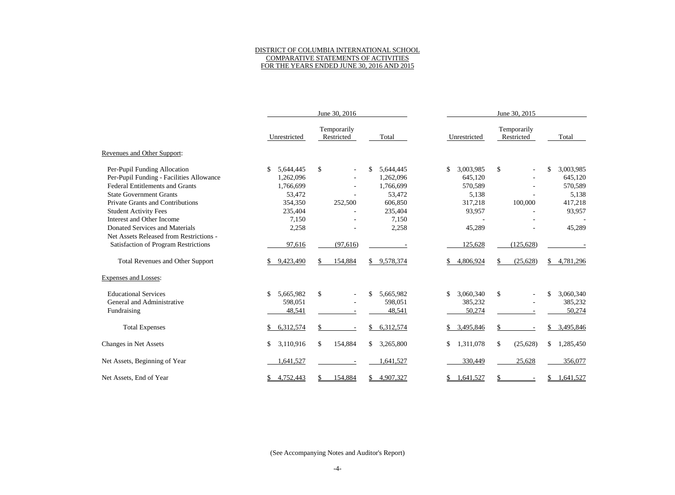## DISTRICT OF COLUMBIA INTERNATIONAL SCHOOL COMPARATIVE STATEMENTS OF CASH FLOWS FOR THE YEARS ENDED JUNE 30, 2016 AND 2015

|                                                             | June 30, 2016              | June 30, 2015            |
|-------------------------------------------------------------|----------------------------|--------------------------|
| <b>Cash Flows from Operating Activities:</b>                |                            |                          |
| <b>Changes in Net Assets</b>                                | $\mathcal{S}$<br>3,265,800 | \$<br>1,285,450          |
| Adjustments to Reconcile Changes in Net Assets to           |                            |                          |
| Net Cash Flows from Operating Activities:                   |                            |                          |
| Depreciation and Amortization                               | 130,284                    | 54,324                   |
| Accounts Receivable - (Increase)/Decrease                   | (60, 688)                  | (24, 389)                |
| Grants Receivable - (Increase)/Decrease                     | (364, 911)                 | (31, 455)                |
| Promises Receivable - (Increase)/Decrease                   | (1,490)                    | (4,010)                  |
| Prepaid Expenses - (Increase)/Decrease                      | (72,060)                   | (96, 401)                |
| Deposits - (Increase)/Decrease                              | 7,010                      | (33,660)                 |
| Loan Financing Costs - (Increase)/Decrease                  | (32,500)                   |                          |
| Accounts Payable and Accrued Expenses - Increase/(Decrease) | 78,196                     | 51,624                   |
| Payroll and Related Liabilities - Increase/(Decrease)       | 89,936                     | 89,817                   |
| Deferred Revenue - Increase/(Decrease)                      | (668)                      | 668                      |
| Net Cash Flows from Operating Activities                    | 3,038,909<br>\$            | 1,291,968                |
| <b>Cash Flows from Investing Activities:</b>                |                            |                          |
| <b>Purchase of Fixed Assets</b>                             | (1,158,636)<br>\$          | \$<br>(300, 884)         |
| Net Cash Flows from Investing Activities                    | (1,158,636)<br>S.          | (300, 884)<br>\$         |
| Net Increase in Cash and Cash Equivalents                   | 1,880,273<br>\$            | $\mathcal{S}$<br>991,084 |
| Cash and Cash Equivalents at Beginning of Year              | 1,180,735                  | 189,651                  |
| Cash and Cash Equivalents at End of Year                    | 3,061,008                  | 1,180,735<br>\$          |

### Supplemental Disclosures:

a) No interest was paid during the years ended June 30, 2016 and 2015.

b) No income taxes were paid during the years ended June 30, 2016 and 2015.

### Non-Cash Disclosure:

a) During the year ended June 30, 2016, acquisition of fixed assets in the amount of \$341,628 was incurred and charged to accounts payable.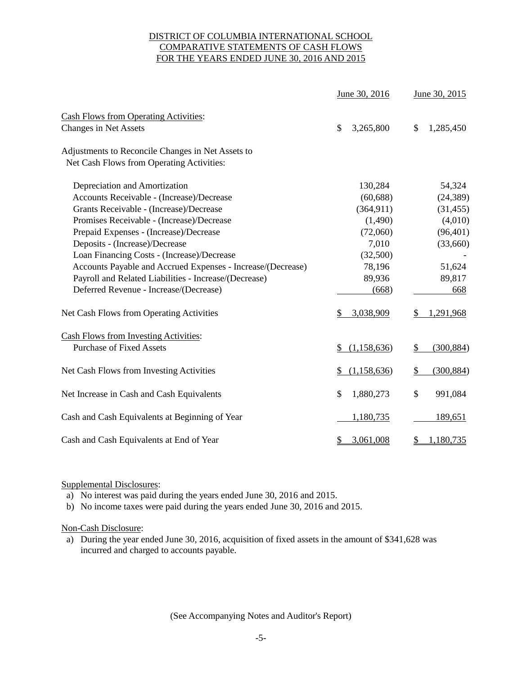## 1. ORGANIZATION:

The District of Columbia International School (the School), a District of Columbia not-for-profit corporation was incorporated on October 4, 2012, exclusively for educational purposes. The School operates as part of the District of Columbia Public School System and was chartered under the authority of the DC Public Charter School Board. The School is a Middle and High School offering language immersion and inquiry-based learning. The School currently offers the world-renowned International Baccalaureate Middle Years Program for students in the 6<sup>th</sup>, 7<sup>th</sup>, 8<sup>th</sup> and 9<sup>th</sup> grades. Advanced language programs are offered for Chinese, French and Spanish.

DCI is a cooperative, collaborative school founded by 5 language immersion public charter schools. These schools have amended their charters to include a secondary program for grades 6-12 at a new educational campus and as a new entity.

The DCI member schools are:

- DC Bilingual Public Charter School
- Elsie Whitlow Stokes Community Freedom Public Charter School
- Latin American Montessori Bilingual Public Charter School
- Mundo Verde Bilingual Public Charter School
- Washington Yu Ying Public Charter School

It is the mission of the School to inspire inquiring, engaged, knowledgeable and caring secondary students who are multi-lingual, culturally competent, and committed to proactively creating a socially just and sustainable world.

The School's primary sources of support are local appropriations for charter schools from the District of Columbia Government. The School also receives federal entitlement funding through the Office of the State Superintendent of Education.

### Basic Programs:

District of Columbia International School provides advanced language learning in Chinese, French and Spanish, and the International Baccalaureate Middle Years and Diploma Programs in a 1:1 technology environment to DC public middle and high school students. The school was founded by the elementary language immersion schools in DC to provide a pathway for their PreK - 5<sup>th</sup> grade students.

Cornerstones of the DCI Education:

- International Baccalaureate for all
- Fluency in a second language: Chinese, Spanish or French
- 1:1 technology to provide personalized learning beyond a traditional school day/year.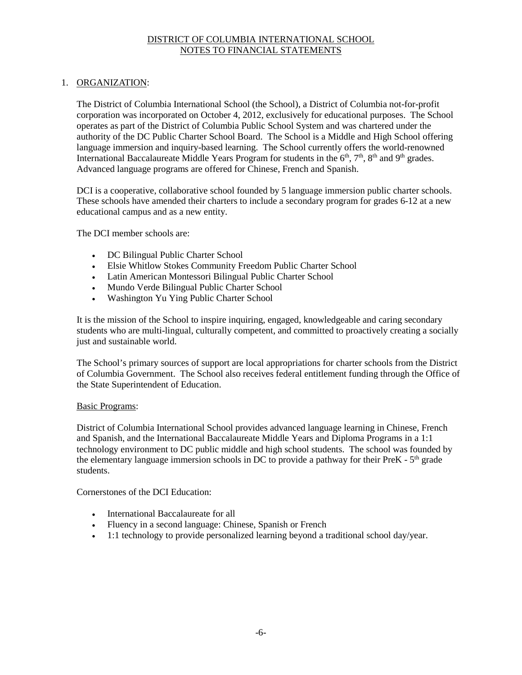1. ORGANIZATION: (Continued)

Basic Programs: (Continued)

DCI opened in 2014-2015. Our current demographics:

- 42% African American, 17% American Indian, 33% Caucasian, 6% Asian, 1% PI
- 40% Identify as Hispanic
- 179 6th Graders, 125 7th Graders and 101 8th graders
- 218 studying Spanish, 121 studying Chinese, 66 studying French
- 54% of students qualify for FARMS
- 78% from Wards 1, 4 and 5, but from all over the city.

In SY 2014-15, DCI served 210 students, 145 students from member schools and approximately 65 lottery spaces. In 2015-16, DCI had 405 students, while serving 519 students in 16-17. The school will continue to grow to 1500 students in  $6-12<sup>th</sup>$  grade and graduate its first class in 2020.

### Current Leadership:

- Mary Shaffner, Executive Director
- Simon Rodberg, Principal
- Rachel Sussman, Asst. Principal
- Deidra Bailey, Asst. Principal
- Dean Harris, IB Coordinator
- Melody Maitland, Director of Student Services
- Cody Long, Director of ACE
- Denise Lyons, Director Business and Compliance
- Gregg Albright, Director of Athletics
- Nicole Welsh, Director of EdTech
- Allison Sandusky, Director of Student Culture
- Alison Auerbach, Director of Language Learning

External funding sources:

- New Schools Venture Fund
- City Bridge: Breakthrough Schools

### 2. SUMMARY OF SIGNIFICANT ACCOUNTING POLICIES:

The significant accounting policies of the School are summarized below:

(a) Basis of Accounting and Presentation:

The accompanying financial statements have been prepared on the accrual basis of accounting, which presents financial position, activities, functional expenses, and cash flows in accordance with accounting principles generally accepted in the United States of America.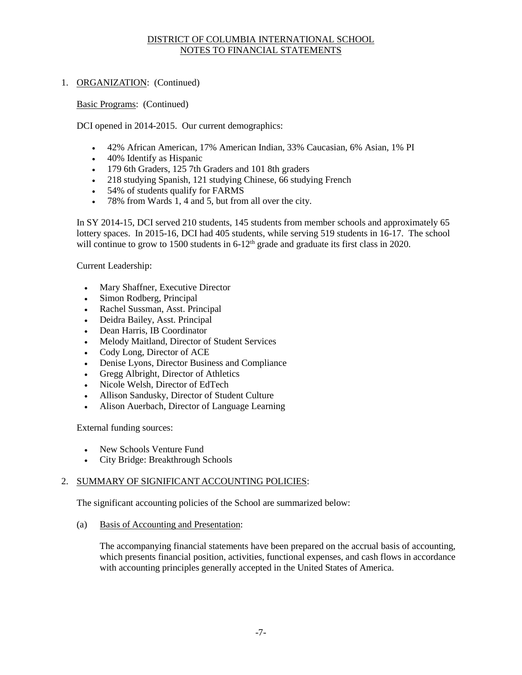# 2. SUMMARY OF SIGNIFICANT ACCOUNTING POLICIES: (Continued)

### (b) Revenue Recognition:

#### **Contributions**

The School has adopted Financial Accounting Standards Board ASC No. 958-605-25, *Accounting for Contributions Received and Contributions Made.* As such, contributions are recognized as revenue when they are received or unconditionally pledged.

All contributions are available for unrestricted use unless specifically restricted by the donor. Contributions and promises to give with donor-imposed conditions are recognized as unrestricted support when the conditions on which they depend are substantially met.

Contributions and promises to give with donor-imposed restrictions are reported as temporarily restricted support. Unconditional promises to give due in the next year are recorded at their net realizable value. Contributions to be received after one year are discounted at an appropriate discount rate commensurate with the risks involved. Amortization of the discount is recorded as additional contribution revenue in accordance with donor-imposed restrictions, if any on the contribution. An allowance for uncollectible contributions receivable is provided based upon management's judgment, including such factors as prior collection history and type of contribution.

The School reports gifts of equipment as unrestricted support unless explicit donor stipulations specify how the donated assets must be used. The School reports expirations of donor restrictions when the donated or acquired assets are placed in service.

#### **Federal and Charter School Funding**

The School receives a student allocation from the District of Columbia as well as federal funding to cover the cost of academic expenses. The student allocation is on a per pupil basis and includes the academic year funding, special education funding, and a facilities allotment. The School recognizes this funding in the year in which the school term is conducted. Funding received in advance of the school term is recorded as a refundable advance.

Federal entitlements are recognized based on the allowable costs incurred.

### **Afterschool Program**

The School offers fee-based extended day programming for all students. The hours of operation are structured to coincide with the typical workday of parents of the students. Tuition is collected based on a monthly fee. The amount of tuition ranges from full tuition to reduced tuition based on the National School Lunch Program guidelines.

(c) Corporate Taxes:

The School is exempt from federal and state income taxes under the provisions of Section 501(c)(3) of the Internal Revenue Code and similar state income tax laws. Exemption from District of Columbia income taxes was granted to the School effective October 4, 2012.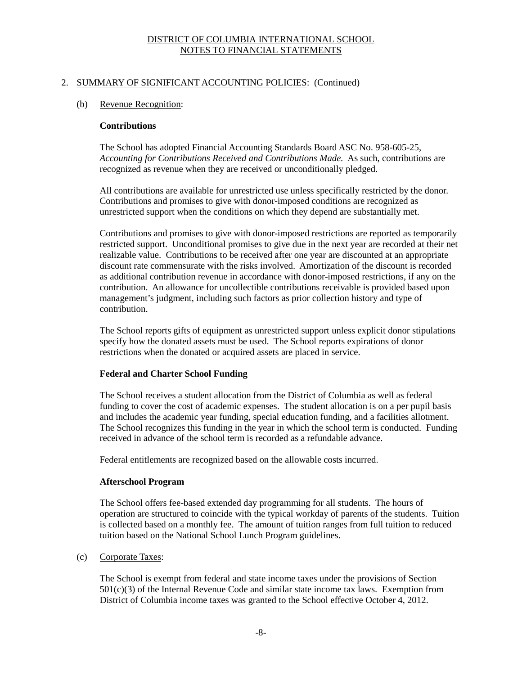## 2. SUMMARY OF SIGNIFICANT ACCOUNTING POLICIES: (Continued)

### (c) Corporate Taxes: (Continued)

Accordingly, no provisions for income taxes have been provided for in the accompanying financial statements. The School has been classified as other than a private foundation under Section  $509(a)(1)$  of the Internal Revenue Code and accordingly contributions qualify as a charitable tax deduction by the contributor under Section 170(b)(i)(A)(ii). The School did not have any net unrelated business income for the year ended June 30, 2016.

The School is also exempt from District of Columbia sales and personal property taxes.

### (d) Grants:

#### Foundation Grants:

Grant revenues result primarily from foundation grants and are recognized as increases in unrestricted net assets unless use of related assets is limited by donor-imposed restrictions. Expenses are reported as decreases in unrestricted net assets. Expiration of temporary restrictions (i.e. the donor-stipulated purpose has been fulfilled and/or the stipulated time period has elapsed) is reported as net assets released from restrictions between the applicable classes of net assets.

#### Government Grants:

The School receives grants from federal and state governmental agencies for various purposes in the form of exchange transactions. Receivables related to grant awards are recorded to the extent unreimbursed expenses have been incurred for the purposes specified by an approved grant award. Funds received in advance for these types of grants and those that are unexpended as of year-end are reflected as a deferred revenue. These grants are subject to financial and compliance audits by the grantor agencies. Such audits could result in a request for reimbursement by the agency for expenditures disallowed under the terms and conditions of the appropriate grantor. No provision for possible adjustment has been made in the accompanying financial statements because, in the opinion of management, such adjustment, if any, would not have a material effect on the financial statements.

#### (e) Net Assets:

The School has adopted Financial Accounting Standards Board ASC No. 958-205-05, *Financial Statements of Not-for-Profit Organizations*. Under FASB ASC No. 958-205-05, the School is required to report information regarding its financial position and activities according to three classes of net assets.

Net assets and revenues, expenses, gains, and losses are classified based on the existence or absence of donor-imposed restrictions. Accordingly, net assets of the School and changes therein are classified and reported as follows: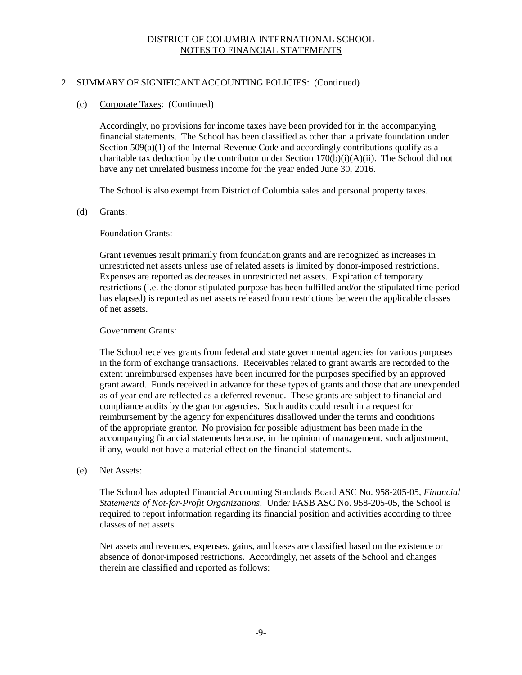# 2. SUMMARY OF SIGNIFICANT ACCOUNTING POLICIES: (Continued)

### (e) Net Assets: (Continued)

#### **Unrestricted Net Assets**

Net assets that are not subject to donor-imposed restrictions and over which the Board of Trustees has discretionary control. This classification includes net assets subject to donorimposed conditions, which have been met in the current year and net assets subject to donorimposed restrictions that have been released from restrictions.

#### **Temporarily Restricted Net Assets**

Net assets subject to donor-imposed restrictions that may or will be met, either by actions of the School and/or the passage of time. When a restriction expires, temporarily restricted net assets are reclassified to unrestricted net assets and reported in the statement of activities as net assets released from restrictions. Temporarily restricted net assets were available at year end for the following purposes:

|                                                           | June 30, 2016    | June 30, 2015 |
|-----------------------------------------------------------|------------------|---------------|
| <b>New School Collaboration</b><br><b>School Supplies</b> | 152,799<br>2.085 |               |
| <b>Total Released</b>                                     | 154.884          | -             |

Net assets were released from donor restrictions by incurring expenses satisfying the restricted purpose, the passage of time, or by occurrence of events specified by donors for the following activities:

|                                                    | June 30, 2016 |     | June 30, 2015 |
|----------------------------------------------------|---------------|-----|---------------|
| New School Collaboration<br><b>School Supplies</b> | 97.201<br>415 | \$. | 125,628       |
| <b>Total Released</b>                              | 97.616        |     | 125,628       |

#### **Permanently Restricted Net Assets**

Net assets subject to donor-imposed stipulations that require the net assets be maintained permanently by the School. Generally, the donors of these assets permit the use of all or part of the income earned on any related investments for general or specific purposes. The School did not have any permanently restricted net assets as of June 30, 2016 and 2015.

#### (f) Donated Services and Facilities:

Donated services and facilities are recognized as contributions in accordance with FASB ASC 958, *Accounting for Contributions Received and Contributions Made*, if the services received create or enhance nonfinancial assets or require specialized skills, and are provided by individuals possessing those skills, and would typically need to be purchased if not provided by donation.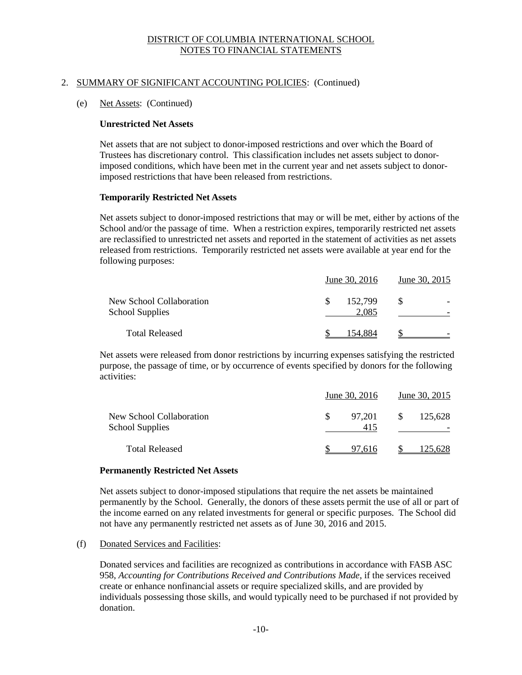## 2. SUMMARY OF SIGNIFICANT ACCOUNTING POLICIES: (Continued)

### (f) Donated Services and Facilities: (Continued)

Contributed services and promises to give services that do not meet the above criteria are not recognized. The time contributed by the School's Board of Trustees is uncompensated and is not reflected as donated services. In-kind contributions are recorded in the Statement of Activities at estimated fair value and recognized as revenue and expense (or an asset) in the period they are received.

The estimated value of donated services and facilities at June 30, 2016 and 2015 has been recorded in the financial statements as follows:

|                          | June 30, 2016 | June 30, 2015 |
|--------------------------|---------------|---------------|
| Legal Services           | \$            | 13,189        |
| Design and Tech Services | 2,000         | 21,600        |
| <b>Summer Fellow</b>     |               | 10,500        |
| Meals                    | 258           |               |
| Total                    |               |               |

#### (g) Functional Expense Allocation Policies and Procedures:

Management has elected to prepare a schedule of functional expenses that is presented as supplemental information to the financial statements. The schedule of functional expenses presents an allocation of each expense category between program services, general and administrative, and fundraising activities. Program service costs pertain to educating students. General and administrative costs pertain to supporting activities. Fundraising costs relate to fundraising activities such as special events, fundraisers and the soliciting of contributions.

Management has established functional expense allocation policies and procedures based on a reasonable analysis of cost drivers and reasonable allocation estimates based on financial results and industry standards.

Direct costs, where identifiable, are allocated in whole to the appropriate functional category. Direct student expenses (textbooks, materials, instructional supplies, assessment material, contract educational services, and field trips) are allocated entirely to program services.

Personnel expenses for salaries, payroll taxes and employee benefit plans are allocated based on job descriptions and management estimates of time spent on particular activities. Personnel expenses for salaries are divided into employee categories (executive, teachers, student and family support, etc.) and then a percentage of time spent on program services, general and administrative activities, and fundraising activities is applied. All other personnel expenses (employee benefits, payroll taxes, staff development) are allocated based on the weighted average allocation of the direct salaries.

For other expenses where it would not be appropriate to designate 100 percent as a program service cost, general and administrative cost, or fundraising cost, the allocation formula for personnel expenses is utilized for cost allocation purposes.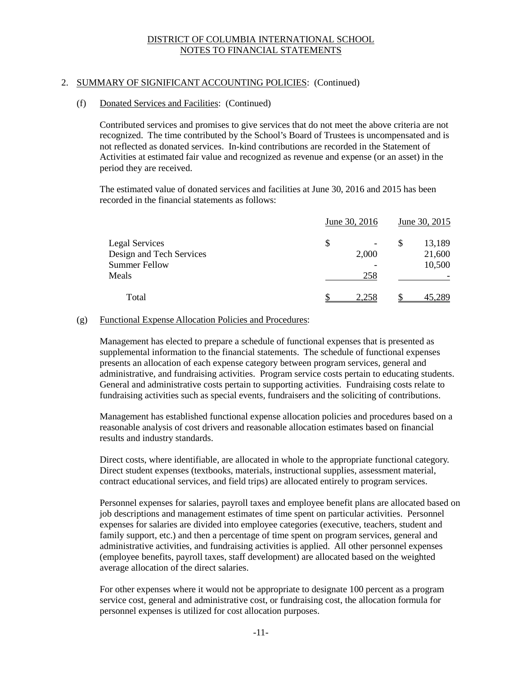## 2. SUMMARY OF SIGNIFICANT ACCOUNTING POLICIES: (Continued)

## (h) Use of Estimates:

The preparation of financial statements in conformity with accounting principles generally accepted in the United States of America requires management to make estimates and assumptions that affect the reported amounts of assets, liabilities, the disclosure of contingent assets and liabilities at the date of the financial statements, and the reported amounts of support and revenues and expenses during the reporting period. Actual results could differ from those estimates.

#### (i) Recognition of Salary Expense:

Salary expense is recognized in the year the service is rendered, which coincides with the academic year. Salaries unpaid at June 30, 2016, are recognized as expense and accrued salaries.

### (j) Fair Value of Certain Financial Instruments:

Some of the School's financial instruments are not measured at fair value on a recurring basis but nevertheless are recorded at amounts that approximate fair value due to their liquid or shortterm nature. Such accounts include cash, accounts receivable, prepaid expenses, accounts payable, and accrued expenses.

## 3. ACCOUNTING FOR UNCERTAIN TAX POSITIONS:

Accounting principles generally accepted in the United States of America provide consistent guidance for the accounting for uncertainty in income taxes recognized in the School's financial statements and prescribe a threshold of "more likely than not" for recognition of tax positions taken or expected to be taken in a tax return. The School performed an evaluation of uncertain tax positions for the year ended June 30, 2016, and determined that there were no matters that would require recognition in the financial statements or that may have any effect on its tax-exempt status. As of June 30, 2016, the statute of limitations for tax years 2012 through 2014 remains open with the U.S. federal jurisdiction or the various states and local jurisdictions in which the organization files tax returns. It is the School's policy to recognize interest and/or penalties related to uncertain tax positions, if any, in income tax expense. As of June 30, 2016, the School had no accruals for interest and/or penalties.

### 4. CASH AND CASH EQUIVALENTS:

Cash and cash equivalents as of June 30, 2016 and 2015, totaled \$3,061,008 and \$1,180,735, respectively, and consisted of the following:

|                                            | June 30, 2016 | June 30, 2015 |
|--------------------------------------------|---------------|---------------|
| <b>Checking Account - Interest Bearing</b> | 480,547<br>S  | 1,180,535     |
| <b>Money Market Accounts</b>               | 811,187       |               |
| Repurchase Agreement                       | 1,769,034     |               |
| Petty Cash                                 | 240           | 200           |
| Total                                      | 3.061.008     |               |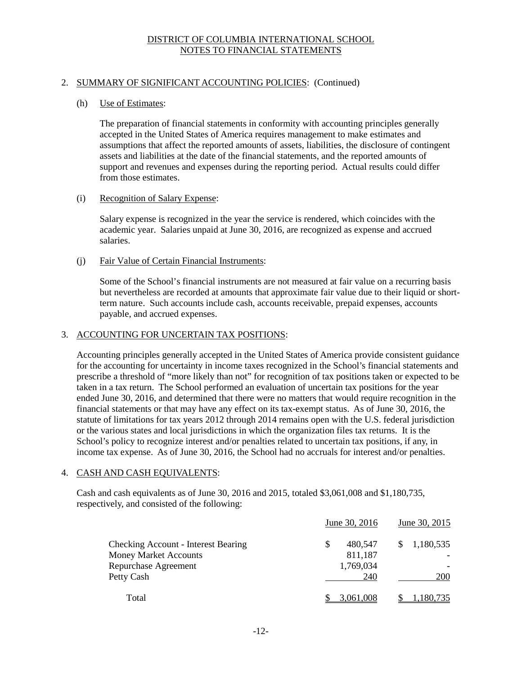# 4. CASH AND CASH EQUIVALENTS: (Continued)

For purposes of the cash flow statement and financial statement presentation, cash and cash equivalents are short term, highly liquid investments with original maturities of three months or less.

The School maintains its operating funds in one financial institution in the form of a business checking account. This account is covered under the Federal Deposit Insurance Corporation (FDIC) Program. Federal Deposit Insurance Corporation Insurance coverage is \$250,000 per banking institution. Deposits held in non-interest-bearing transaction accounts are aggregated with interestbearing deposits and the combined total is insured up to \$250,000.

As of June 30, 2016 and 2015, \$2,830,259 and \$938,079, respectively, of the bank balance was deposited in excess of Federal Deposit Insurance Corporation limits. Due to increased cash flows at certain times during the year, the amount of funds at risk may have been greater than at year end. The School was at risk for the funds held in excess of the insured amounts. The School has not experienced any losses related to these accounts and does not believe it is exposed to any significant credit risk on cash and cash equivalents.

## Repurchase Agreement:

The School entered into a repurchase agreement with Eagle Bank in which the bank agreed to transfer to the School an interest in securities issued or guaranteed by the United States or an agency thereof against the transfer of funds from the School to the respective bank.

Per the repurchase agreement, funds in excess of \$1,000 are transferred out on a daily basis and transferred back in the following day along with interest earned. The School has not experienced any losses related to these accounts and does not believe it is exposed to any significant credit risk on cash and cash equivalents.

# 5. ACCOUNTS, GRANTS AND PROMISES RECEIVABLE:

### Accounts and Grants Receivable:

Accounts and grants receivable are current and considered to be fully collectible by management. Balances as of June 30, 2016 and 2016, consisted of the following:

|                                                            | June 30, 2016                    | June 30, 2015         |
|------------------------------------------------------------|----------------------------------|-----------------------|
| <b>Accounts Receivable</b>                                 |                                  |                       |
| Per Pupil Funding<br><b>Student Activity Fees</b><br>Other | \$<br>22,753<br>16,245<br>48,304 | \$<br>23,761<br>2,853 |
| Total                                                      | 87,302                           | 26.614                |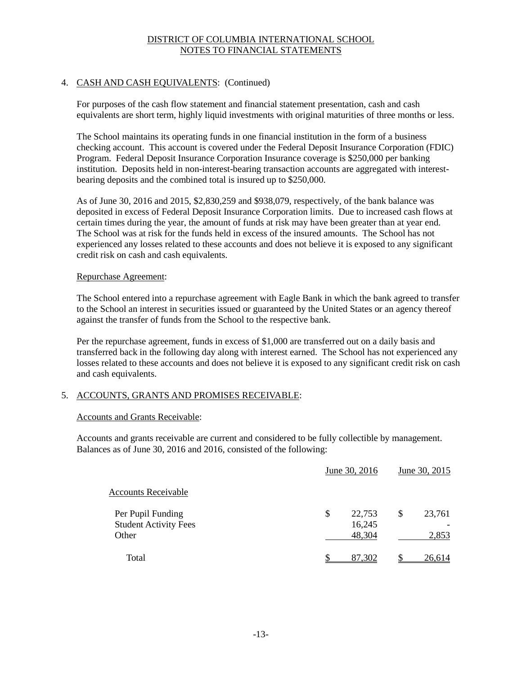# 5. ACCOUNTS, GRANTS AND PROMISES RECEIVABLE: (Continued)

### Accounts and Grants Receivable: (Continued)

|                                                    | June 30, 2016 |   | June 30, 2015 |
|----------------------------------------------------|---------------|---|---------------|
| <b>Grants Receivable</b>                           |               |   |               |
| No Child Left Behind - Entitlement Funds           | \$<br>386     | S | 12,587        |
| Special Education, IDEA 611, Grants to Local       |               |   |               |
| <b>Education Agencies</b>                          | 1.418         |   |               |
| Scholarship for Opportunity and Results Act (SOAR) | 457,359       |   | 87,140        |
| National School Lunch and Breakfast Programs       | 13,612        |   | 8,471         |
| <b>Healthy Schools Act</b>                         | 1,019         |   | 685           |
| Total                                              |               |   | 108.883       |

The School's accounts and grants receivable consists of unsecured amounts due from funding sources whose ability to pay is subject to changes in general economic conditions. Because the School does not require collateral, it is at credit risk due to the type of organization for the balance of the accounts and grants receivable as of June 30, 2016 and 2015.

Accounts and grants receivable are stated at the amount management expects to collect from outstanding balances. Management provides for probable uncollectable amounts through a provision for bad debt expense and an adjustment to a valuation allowance based on its assessment of the current status of individual accounts. Balances that are still outstanding after management has used reasonable collection efforts are written off through a charge to the valuation allowance and a credit to accounts or grants receivable. Management believes that an allowance was not required, based on its evaluation of collectability of receivables as of June 30, 2016 and 2015.

Trade receivables related to program service fees are recognized as revenue on the accrual basis of accounting at the time the program activity has occurred. Credit is extended for a period of 60 days with no interest accrual at which time payment is considered delinquent. Trade receivables are written off as uncollectable when payment has not been received after 180 days.

### Promises Receivable:

Contributions are recognized when the donor makes a promise to give that is, in substance, unconditional. Promises to give represent amounts committed by donors that have not been received by the School. The School uses the allowance method to determine uncollectible promises to give. Balances at year end consisted of the following:

|                                  | June 30, 2016 | June 30, 2015 |
|----------------------------------|---------------|---------------|
| Other - Unrestricted             | 5.500         | 4.010         |
| <b>Total Promises Receivable</b> | 5.500         | 400           |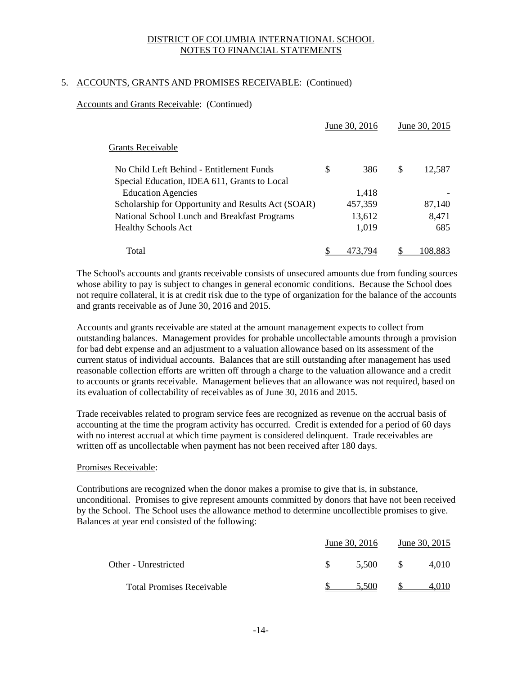## 5. ACCOUNTS, GRANTS AND PROMISES RECEIVABLE: (Continued)

#### Promises Receivable: (Continued)

The above unconditional promises receivable are all due in less than one year. In addition, the School received the following conditional promises to give that are not recognized as assets in the financial statements:

|                                              | June 30, 2016            | June 30, 2015 |
|----------------------------------------------|--------------------------|---------------|
| New School Collaboration                     | $\overline{\phantom{a}}$ | 286.250       |
| <b>Total Conditional Promises Receivable</b> | $\overline{\phantom{a}}$ | 286.250       |

#### 6. FIXED ASSETS:

Furniture and equipment are recorded at cost, or in the case of contributed property at the fair market value at the date of contribution. If an expenditure in excess of \$1,000 results in an asset having an estimated useful life which extends substantially beyond the year of acquisition, the expenditure is capitalized at cost and depreciated over the estimated useful lives of the assets. When assets are retired, or otherwise disposed of, the cost and related accumulated depreciation is removed from the accounts and any resulting gain or loss is reflected in income for the period. Depreciation has been provided on the straight-line method over the estimated useful lives of the assets. Depreciation and amortization expense for the years ended June 30, 2016 and 2015 was \$130,284 and \$54,324, respectively. Maintenance and repairs are charged to expenses as incurred. Major classifications of fixed assets and their estimated useful lives are as summarized below:

#### June 30, 2016

|                                 | Depreciable |               | Accumulated  | Net Book        |
|---------------------------------|-------------|---------------|--------------|-----------------|
|                                 | Life        | Cost          | Depreciation | Value           |
| Furniture and Equipment         | 5 Years     | \$<br>247,228 | \$<br>59,738 | \$<br>187,490   |
| <b>Computer Equipment</b>       | 3 Years     | 279,711       | 89,591       | 190,120         |
| <b>Website Design</b>           | 5 Years     | 4,175         | 1,650        | 2,525           |
| Leasehold Improvements          | 2 Years     | 23,616        | 22,269       | 1,347           |
| <b>Construction in Progress</b> |             | 1,265,421     |              | 1,265,421       |
| Total                           |             | 1,820,151     | 173,248      | 1,646,903<br>\$ |
| June 30, 2015                   |             |               |              |                 |
|                                 | Depreciable |               | Accumulated  | Net Book        |
|                                 | Life        | Cost          | Depreciation | Value           |
| Furniture and Equipment         | 5 Years     | \$<br>127,444 | \$<br>17,924 | \$<br>109,520   |
| Computer Equipment              | 3 Years     | 185,920       | 29,535       | 156,385         |
| <b>Website Design</b>           | 5 Years     | 2,875         | 815          | 2,060           |
| Leasehold Improvements          | 2 Years     | 15,491        | 6,533        | 8,958           |
| Total                           |             | S<br>331,730  | 54,807<br>\$ | 276,923<br>\$   |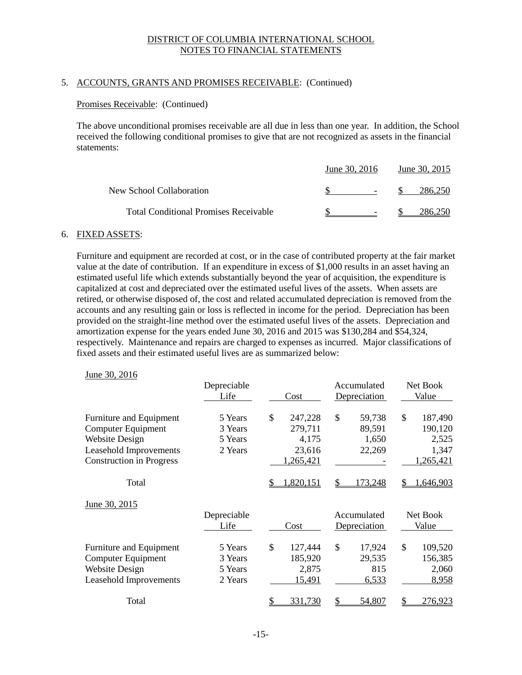## 6. FIXED ASSETS: (Continued)

During the year ended June 30, 2016, the School incurred costs related to architectural services for the development of a new school located at the Delano Hall on the former Walter Reed campus. The new school is projected to be completed and ready for use for the 2017-2018 school year. Total costs incurred as of June 30, 2016, were \$1,265,421 and are classified as Construction in Progress.

## 7. LINE OF CREDIT:

On January 29, 2015, the School entered into a variable rate revolving \$200,000 line of credit arrangement with Eagle Bank. The purpose of the line of credit is to provide short-term working capital. The line is collateralized with a first priority interest on all corporate assets of the School. The line is payable on demand and calls for monthly interest payments at the Prime Rate as published in the Wall Street Journal on a daily basis plus .50% and subject to a floor of 6.00%. There was no balance outstanding on this credit line as of June 30, 2016.

## 8. DISTRICT OF COLUMBIA PUBLIC CHARTER SCHOOL BOARD CONTRACT:

The School was approved by the District of Columbia Public Charter School Board as a jointly operated co-located campus of the middle-high school campuses of five language immersion charter schools in the District of Columbia. The District of Columbia Public Charter School Board (DCPCSB) is responsible for the ongoing oversight of the School's fiscal management and academic acceptability. The agreement effective July 1, 2014, provides for a 15-year term of operation. If not renewed, the agreement will expire on or about July 1, 2029. The contract may be renewed for successive 15-year periods if the DCPCSB deems that the School is in compliance with its contract and District statutory provisions. In addition, in accordance with the Charter School Act, the DCPCSB is required to review the School every five years, with the first review expected to occur in 2019. The DCPCSB may revoke (or not renew) a school contract if a school violates applicable law, materially violates the contract or fails to meet the student academic achievement expectations set forth in the charter contract. Consequently, management does not anticipate non-renewal or revocation of its operational agreement.

As part of the agreement with the DCPCSB, the School may be charged a public charter school fee, which is not to exceed one percent of the total revenues (less philanthropic and investment revenues) within the annual budget to cover the costs of undertaking the ongoing administrative responsibilities of the Board. For the years ended June 30, 2016 and 2015, the School incurred \$89,676 and \$43,188, respectively, in administrative fees.

The contract provides that the School may educate up to a predetermined number of students. However, this enrollment limit may be raised upon notification to and acceptance by the DCPCSB. The School enrollment ceiling for the year ended June 30, 2016, was not permitted to be greater than 415 students. Audit enrollment for the 2015/2016 year was 404 students.

### 9. PER-PUPIL FUNDING ALLOCATION:

The School receives local funding from the District of Columbia in the form of per-pupil educational allotments and facility allotments. This funding is based on the equivalent number of full-time students and is determined annually. For the year ended June 30, 2016, the per-student rate ranged from \$9,492 to \$11,580 for the education allotment and \$3,124 for the facility allotment.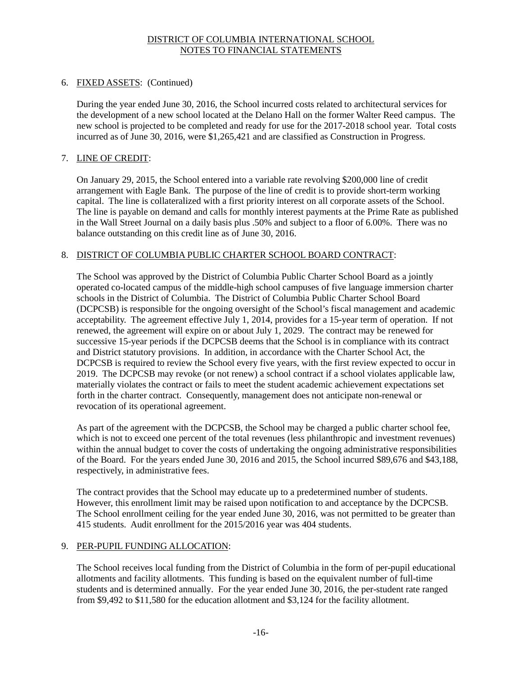## 9. PER-PUPIL FUNDING ALLOCATION: (Continued)

For the year ended June 30, 2015, the per-student rate ranged from \$9,492 to \$11,580 for the educational allotment and \$3,072 for the facility allotment. Additional allotments were made for Special Education Services. Per-pupil funding for the years ended June 30, 2016 and 2015, was as follows:

|                              | June 30, 2016 | June 30, 2015 |
|------------------------------|---------------|---------------|
| Grades 6-8                   | 4, 141, 549   | 2,152,786     |
| <b>Special Education</b>     | 1,114,803     | 638,795       |
| English as a Second Language | 209,299       | 120,928       |
| <b>Facilities Allowance</b>  | 1,262,096     | 645,120       |
| <b>At-Risk Students</b>      | 178,794       | 91.476        |
| Total                        | 6.906.541     | 3.649,105     |

## 10. FEDERAL ENTITLEMENTS AND GRANTS:

During the years ended June 30, 2016 and 2015, the School participated in the following federal awards programs:

|                                                                                                | June 30, 2016        | June 30, 2015      |
|------------------------------------------------------------------------------------------------|----------------------|--------------------|
| National School Lunch and School Breakfast Programs                                            | \$<br>92.889         | \$<br>50.365       |
| No Child Left Behind - Entitlement Funds<br>Scholarship for Opportunity and Results Act (SOAR) | 144,105<br>1,418,757 | 100,862<br>391,824 |
| Special Education, IDEA 611, Grants to Local<br><b>Education Agencies</b>                      | 110.948              | 27,538             |
| Total                                                                                          |                      | 70.589             |

Federal formula grants are allocations of money to States or their subdivisions in accordance with distribution formulas prescribed by law or administrative regulation, for activities of a continuing nature not confined to a specific project. The School receives federal formula grants under the provisions of the No Child Left Behind Act (NCLB) of 2001, P.L 107-110. NCLB funds are not intended to replace state or local educational funding. Rather, NCLB funds provide additional support to states, LEAs, and schools for specific purposes. Grants are provided by the U.S. Department of Education and passed through the District of Columbia Office of the State Superintendent of Education.

The National School Lunch Program and School Breakfast Program are part of the child nutrition cluster of programs operated by the U.S. Department of Agriculture. The objectives of the child nutrition cluster programs are to: (1) assist States in administering food services that provide healthful, nutritious meals to eligible children in public and non-profit private schools, residential childcare institutions, and summer recreation programs; and (2) encourage the domestic consumption of nutritious agricultural commodities.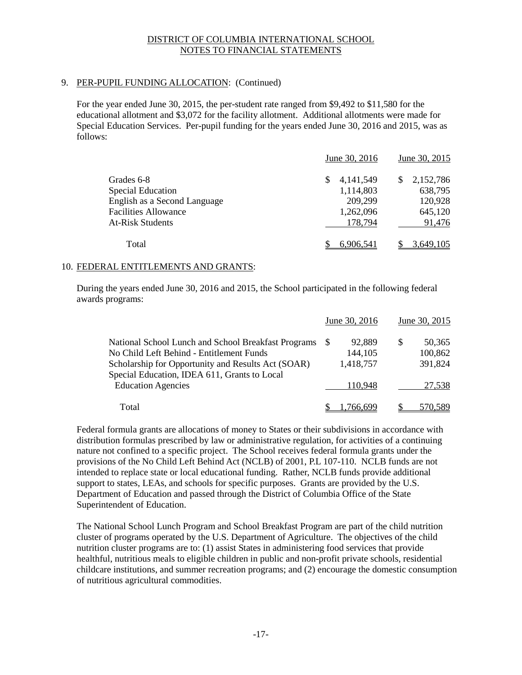## 11. COMMITMENTS:

## Building Lease (3220 and 3224 16<sup>th</sup> Street, NW):

The School entered into a rental agreement effective August 1, 2014, with the Charter School Incubator Initiative for the rental of a school facility located at  $3220$  and  $3224$   $16<sup>th</sup>$  Street, NW, in Washington, DC. The term of this agreement shall continue until July 31, 2016, with an option to renew the agreement for one option period of two years by providing the landlord with one-month prior written notice. As a requirement of this lease, a total rental security deposit of \$5,000 is to be made. The annual usage fee represents an amount equal to the number of students enrolled on each census date (every October) multiplied by the per pupil facilities allowance received from the DC Government. The annual usage fee is full service and includes all utilities (gas, water, electricity, and trash removal), building engineering, janitorial, maintenance and repairs, and property management. Rent expense on this lease for the years ended June 30, 2016 and 2015, was \$1,210,681 and \$591,360, respectively, and was based on a student enrollment of 404 and 210 students, respectively.

Future estimated required minimum rental lease payments based on estimated student enrollment are as follows:

| Year Ending June 30, | Required<br>Lease<br>Payment |
|----------------------|------------------------------|
| 2017<br>2018         | 1,562,000<br>S<br>130,167    |
| Total                |                              |

### Building Lease (1500 Harvard Street, NW):

The School entered into a rental agreement effective July 15, 2015, with the Charter School Incubator Initiative for the rental of certain classroom space and other premises at 1500 Harvard Street, NW, in Washington, DC. The term of this agreement shall continue until July 15, 2018. As a requirement of this lease, a total rental security deposit of \$10,000 is to be made. Currently, the School does not owe any usage fees under this agreement.

Total rent expense for the years ended June 30, 2016 and 2015 was \$1,217,181 and \$596,860, respectively. Included in rent expense for the years ended June 30, 2016 and 2015 are payments for the rental of a gym totaling \$6,500 and \$5,500, respectively.

### 12. CONCENTRATIONS:

### Revenues:

The School receives public funds from the DC government based on the number of students they enroll according to the Uniform Per Student Funding Formula developed by the Mayor and City Council. This per pupil allocation is supplemented with extra funds for students with special needs. During the years ended June 30, 2016 and 2015, seventy-two percent (72%) and seventy-six percent (76%), respectively, of total support was received from the District of Columbia in the form of per pupil funding.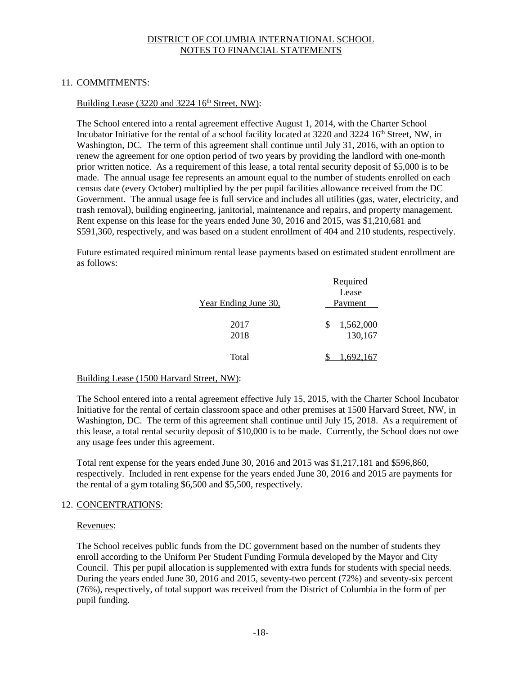## 12. CONCENTRATIONS: (Continued)

#### Revenues: (Continued)

In addition to the revenue received through the Uniform Per Student Funding, the School receives state and federal grants awarded under the auspices of the U.S. Department of Education (No Child Left Behind and special education) as well as the U.S. Department of Agriculture (Child Nutrition). The School is entitled to receive these funds by virtue of its recognition as a Local Education Agency by the District of Columbia Public Charter School Board (DC PCSB).

The School is limited to enrolling students that are residents of the District of Columbia. As such, the School must compete for students against the DC Public School system as well as other DC Public Charter Schools.

### 13. CONTINGENCIES:

The School was approved to operate by the District of Columbia Public Charter School Board, authorized under the District of Columbia School Reform Act of 1995, Public Law 104-134, as amended. The School has no reason to believe that this relationship will be discontinued in the foreseeable future. However, any interruption of this relationship (i.e., the failure to continue this charter authorization or withholding of funds) could adversely affect the School's ability to finance ongoing operations.

The School depends on per pupil allocations, grants, and contributions for a significant portion of its revenues. The ability of the sources of revenues to continue giving amounts comparable with prior years may be dependent upon future economic conditions and continued deductibility for income tax purposes of grants and contributions to the School. While the School's board of trustees and management believes the School has the resources to continue its programs, its ability to do so, and the extent to which it continues, may be dependent on the above factors.

Laws and regulations governing charter schools are complex and subject to interpretation. The School believes that it is in compliance with all applicable laws and regulations and is not aware of any pending or threatened investigations involving allegations of potential wrongdoing.

The viability of public charter schools and funding for these schools is dependent on the consensus of current and future administration of the District of Columbia Government. Any future change in dynamics could adversely affect the operation of public charter schools.

### 14. SUBSEQUENT EVENTS:

### Financial Statement Preparation:

In preparing these financial statements, management has evaluated events and transactions for potential recognition or disclosure through November 22, 2016, the date the financial statements were available to be issued, and has determined that no adjustments are necessary to the amounts represented in the accompanying financial statements.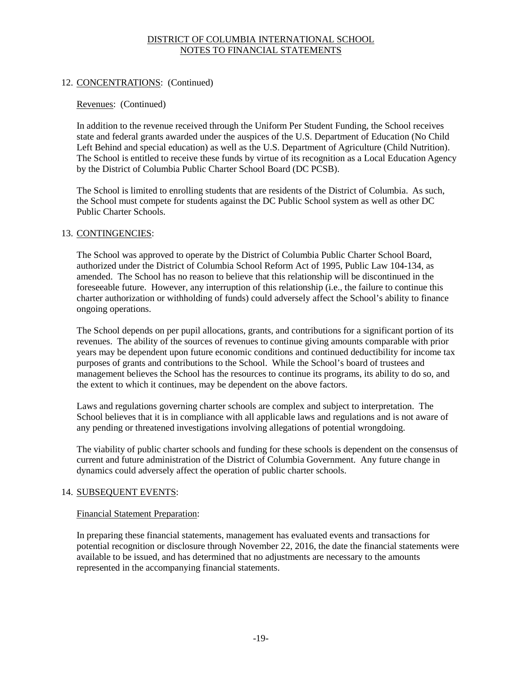## 14. SUBSEQUENT EVENTS: (Continued)

### Enrollment:

Enrollment for the 2016/2017 school year is projected to be approximately five hundred (500) students. These enrollment numbers are up from the current enrollment number of four hundred and five (405) students during the 2015/2016 school year.

### 15. RELATED PARTY TRANSACTIONS:

### Grant Revenues:

A board member of the School is affiliated with the New Schools Venture Fund. During December 2013, this organization granted \$936,250 to the School. This grant is being accounted for as a conditional grant by the School. During the year ended June 30, 2016, the final installment of \$286,250 was recognized as revenue in relation to this grant by the School.

There was another board member affiliated with a foundation that granted \$8,000 to the School during the year ended June 30, 2015.

### Donated Legal Services:

The firm of one of the School's board members provided general legal services to the School for which a value of \$9,861 was assigned and recognized in the financial statements during the year ended June 30, 2015.

### Member Schools:

DCI is a cooperative, collaborative school founded by 5 language immersion public charter schools. These schools have amended their charters to include DCI as a secondary program for grades 6-12. Certain federal government grants were received from the Department of Education and passed through these member schools to DCI. These federal grants are listed on DCI's Schedule of Expenditures of Federal Awards.

#### 16. FUNDRAISING:

During the years ended June 30, 2106 and 2015, expenses incurred for the purpose of fundraising were \$48,541 and \$50,274, respectively.

#### 17. ADVERTISING:

Advertising was conducted for the purpose of promoting open enrollment and student recruiting to the school and to provide outreach to the community. Advertising costs are expensed when incurred. Direct advertising expenses were \$27,608 and \$31,338 for the years ended June 30, 2016 and 2015, respectively.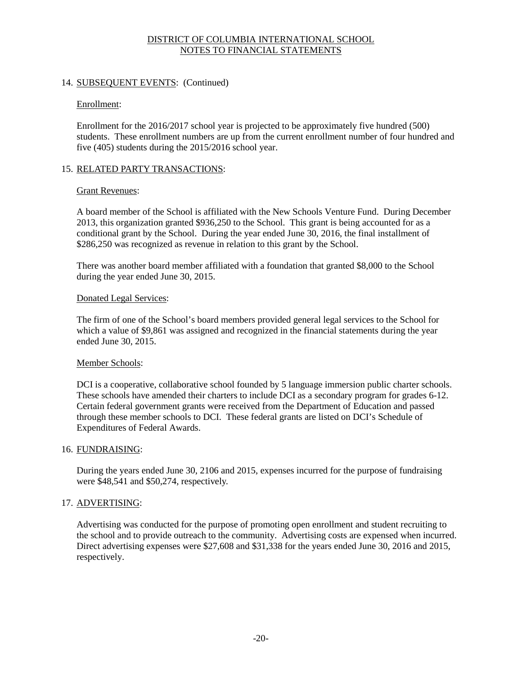### 18. RETIREMENT PLAN:

#### Teachers Retirement Plan:

As authorized by the Title 38 of the Code of the District of Columbia, teachers of the DC Public School System may participate in a defined benefit plan named the "Teacher's Retirement Plan." The District of Columbia Retirement Board (DCRB) is responsible for paying benefits attributable to teacher service.

An employee may elect to remain in the Teacher's Retirement Plan if that individual leaves employment with the District of Columbia Public School system and becomes an employee of a DC Public Charter School provided the election is made within 60 days of departure. To remain in the plan, the teacher must make the required employee retirement contributions and the school must make the match contributions that the District Government would have made to the plan. Employee contributions of 7% of annual salary are required to be made on a pre-tax basis to the plan.

#### 401(k) Retirement Plan:

The School provides pension benefits for its employees through a defined contribution 401(k) retirement plan. In a defined contribution plan, benefits depend solely on amounts contributed to the plan plus investment earnings. Provisions of the Plan allow for the employees to contribute up to the statutory limits set by the Internal Revenue Code. The School contributes, on a matching basis, an amount up to 3% of an employee's base annual salary for employees with one or more years of employment. In addition to the traditional  $401(k)$  contributions, the Plan accepts Roth  $401(k)$ contributions.

The combined amount of employer contributions for the years ended June 30, 2016 and 2015, was \$42,249 and \$14,360, respectively.

#### 19. EMPLOYEE BENEFITS:

The cost of fringe benefits incurred for the years ended June 30, 2016 and 2015, consisted of the following:

|                               | June 30, 2016 | June 30, 2015 |
|-------------------------------|---------------|---------------|
| Social Security/Medicare      | 198,213<br>\$ | \$<br>117,358 |
| <b>Health Insurance</b>       | 252,546       | 113,736       |
| Life and Disability Insurance | 11,815        | 6,980         |
| Retirement                    | 42,249        | 14,360        |
| Unemployment                  | 26,816        | 15,091        |
| <b>Mass Transit</b>           | 23,932        |               |
| <b>Workers Compensation</b>   | 6,638         | 5,715         |
| Total                         | 562,209       | 273.240       |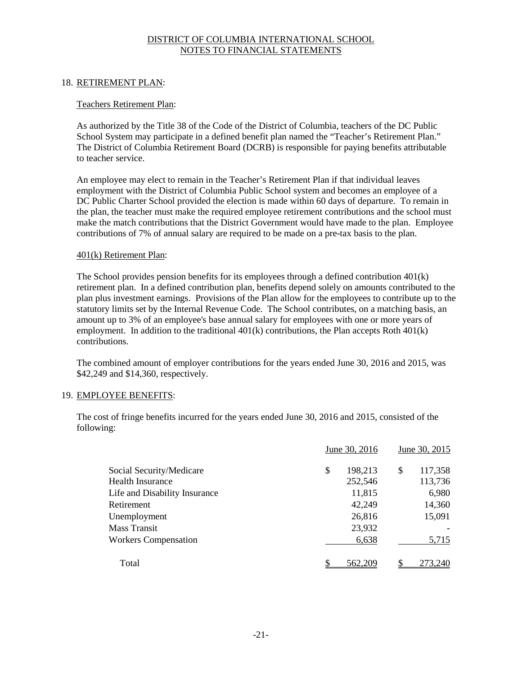# 20. OCCUPANCY COST:

The cost of occupancy for the years ended June 30, 2016 and 2015, consisted of the following:

|                                     | June 30, 2016 | June 30, 2015 |
|-------------------------------------|---------------|---------------|
| Rent                                | 1,217,181     | \$<br>596,860 |
| <b>Maintenance and Repairs</b>      | 12,771        | 6,284         |
| <b>Janitorial Supplies</b>          | 5,133         | 3,674         |
| <b>Contracted Building Services</b> | 3,574         | 1,898         |
| <b>Depreciation - Facilities</b>    | 15,736        | 6,533         |
| Total                               | 1.254.395     | 615.249       |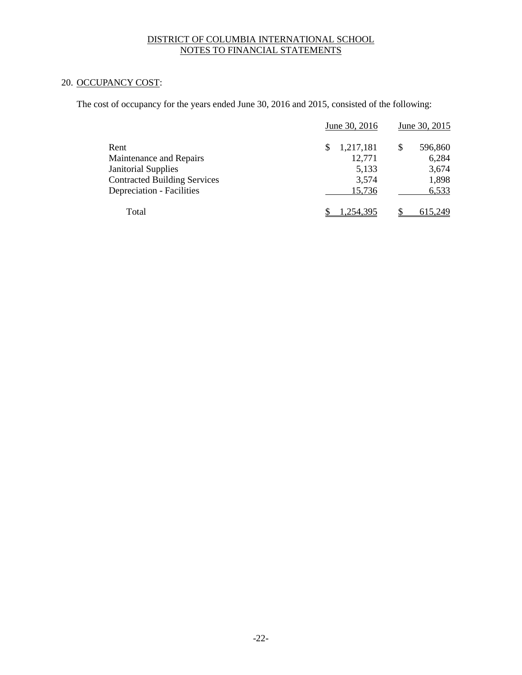#### DISTRICT OF COLUMBIA INTERNATIONAL SCHOOL COMPARATIVE SCHEDULES OF FUNCTIONAL EXPENSES FOR THE YEARS ENDED JUNE 30, 2016 AND 2015

|                                         |                | June 30, 2016             |                |                         |                        | June 30, 2015               |                               |                        |  |  |  |  |  |  |
|-----------------------------------------|----------------|---------------------------|----------------|-------------------------|------------------------|-----------------------------|-------------------------------|------------------------|--|--|--|--|--|--|
|                                         |                | Educational               | General and    |                         |                        | Educational                 |                               |                        |  |  |  |  |  |  |
|                                         | Total          | Services                  | Administrative | Fundraising             | Total                  | Services                    | General and<br>Administrative | Fundraising            |  |  |  |  |  |  |
| Personnel, Salaries and Benefits:       |                |                           |                |                         |                        |                             |                               |                        |  |  |  |  |  |  |
| Leadership Salaries                     | 373,633<br>\$. | \$<br>306,550             | 45,876<br>- \$ | $\mathcal{S}$<br>21,207 | 328,104<br>-S          | <sup>\$</sup><br>268,178 \$ | 38,628                        | $\mathbb{S}$<br>21,298 |  |  |  |  |  |  |
| <b>Teaching Staff Salaries</b>          | 2,071,939      | 2,071,939                 |                |                         | 901,423                | 900,118                     | 1,249                         | 56                     |  |  |  |  |  |  |
| <b>Student Support Salaries</b>         | 448,363        | 445,414                   | 2,739          | 210                     | 192,500                | 192,500                     |                               |                        |  |  |  |  |  |  |
| Office and Administrative Staff         | 296,543        | 116,901                   | 172,084        | 7,558                   | 186,234                | 104,203                     | 74,799                        | 7,232                  |  |  |  |  |  |  |
| <b>Employee Benefits</b>                | 337,180        | 310,795                   | 23,324         | 3,061                   | 140,791                | 128,249                     | 10,040                        | 2,502                  |  |  |  |  |  |  |
|                                         |                |                           |                |                         |                        |                             |                               |                        |  |  |  |  |  |  |
| <b>Payroll Taxes</b>                    | 225,029        | 207,419                   | 15,566         | 2,044                   | 132,449                | 120,651                     | 9,444                         | 2,354                  |  |  |  |  |  |  |
| <b>Staff Development Expense</b>        | 90,823         | 83,716                    | 6,283          | 824                     | 31,401                 | 28,604                      | 2,239                         | 558                    |  |  |  |  |  |  |
| Other Personnel Expenses                | 72,781         | 66,912                    | 5,379          | 490                     | 35,948                 | 32,746                      | 2,563                         | 639                    |  |  |  |  |  |  |
| Total Personnel, Salaries and Benefits  | 3,916,291      | 3,609,646                 | 271,251        | 35,394                  | 1,948,850              | 1,775,249                   | 138,962                       | 34,639                 |  |  |  |  |  |  |
| <b>Direct Student Costs:</b>            |                |                           |                |                         |                        |                             |                               |                        |  |  |  |  |  |  |
| Textbooks                               | \$<br>46,959   | \$<br>46,959 \$           |                | <sup>\$</sup>           | $\mathbb{S}$<br>59,284 | 59,284 \$<br>\$             |                               | \$                     |  |  |  |  |  |  |
| <b>Student Supplies and Materials</b>   | 159,474        | 159,474                   |                |                         | 92,387                 | 92,387                      |                               |                        |  |  |  |  |  |  |
| <b>Student Assessment Materials</b>     | 18,446         | 18,446                    |                |                         | 11,406                 | 11,406                      |                               |                        |  |  |  |  |  |  |
| Food Service                            | 141,287        | 141,287                   |                |                         | 80,525                 | 80,525                      |                               |                        |  |  |  |  |  |  |
| Contracted Instruction                  | 200,706        | 200,706                   |                |                         | 143,793                | 143,793                     |                               |                        |  |  |  |  |  |  |
| Student Travel/Transportation           | 27,577         | 27,577                    |                |                         | 9,216                  | 9,216                       |                               |                        |  |  |  |  |  |  |
|                                         |                | 48,969                    |                |                         | 22,458                 | 22,458                      |                               |                        |  |  |  |  |  |  |
| Other Student Costs                     | 48,969         |                           |                |                         |                        |                             |                               |                        |  |  |  |  |  |  |
| <b>Total Direct Student Costs</b>       | 643,418        | 643,418                   |                |                         | 419,069                | 419,069                     |                               |                        |  |  |  |  |  |  |
| <b>Occupancy Costs:</b>                 |                |                           |                |                         |                        |                             |                               |                        |  |  |  |  |  |  |
| Rent                                    | 1,217,181<br>S | \$<br>1,121,930 \$        | 84,197         | $\mathcal{S}$<br>11,054 | -S<br>596,860          | 543,692 \$<br>\$            | 42,559                        | $\mathbb{S}$<br>10,609 |  |  |  |  |  |  |
| <b>Contracted Building Services</b>     | 3,574          | 3,296                     | 246            | 32                      | 1,898                  | 1,729                       | 135                           | 34                     |  |  |  |  |  |  |
| Maintenance and Repairs                 | 12,771         | 11,772                    | 883            | 116                     | 6,284                  | 5,724                       | 448                           | 112                    |  |  |  |  |  |  |
| Janitorial Supplies                     | 5,133          | 4,729                     | 357            | 47                      | 3,674                  | 3,347                       | 262                           | 65                     |  |  |  |  |  |  |
| Depreciation - Facilities               | 15,736         | 14,505                    | 1,088          | 143                     | 6,533                  | 5,951                       | 466                           | 116                    |  |  |  |  |  |  |
|                                         |                |                           |                |                         |                        |                             |                               |                        |  |  |  |  |  |  |
| <b>Total Occupancy Costs</b>            | 1,254,395      | ,156,232                  | 86,771         | 11,392                  | 615,249                | 560,443                     | 43,870                        | 10,936                 |  |  |  |  |  |  |
| Office Expenses:                        |                |                           |                |                         |                        |                             |                               |                        |  |  |  |  |  |  |
| Office Supplies and Materials           | \$<br>28,682   | $\mathbb{S}$<br>26,438 \$ | 1,984          | $\mathbb{S}$<br>260     | $\mathbb{S}$<br>27,935 | \$<br>25,446 \$             | 1,992                         | $\mathbb{S}$<br>497    |  |  |  |  |  |  |
| <b>Equipment Rental and Maintenance</b> | 15,736         | 14,504                    | 1,089          | 143                     | 7,165                  | 6,527                       | 511                           | 127                    |  |  |  |  |  |  |
| Telephone/Telecommunications            | 13,065         | 12,042                    | 904            | 119                     | 4,830                  | 4,400                       | 344                           | 86                     |  |  |  |  |  |  |
| Postage and Shipping                    | 4,600          | 4,240                     | 318            | 42                      | 1,602                  | 1,460                       | 114                           | 28                     |  |  |  |  |  |  |
| <b>Computer Support Fees</b>            | 30,359         | 27,983                    | 2,100          | 276                     | 50,279                 | 45,800                      | 3,585                         | 894                    |  |  |  |  |  |  |
| Printing and Duplication                | 3,628          | 3,344                     | 251            | 33                      | 1,480                  | 1,348                       | 105                           | 27                     |  |  |  |  |  |  |
| <b>Total Office Expenses</b>            | 96,070         | 88,551                    | 6,646          | 873                     | 93,291                 | 84,981                      | 6,651                         | 1,659                  |  |  |  |  |  |  |
|                                         |                |                           |                |                         |                        |                             |                               |                        |  |  |  |  |  |  |
| General Expenses:                       |                |                           |                |                         |                        |                             |                               |                        |  |  |  |  |  |  |
| Insurance                               | \$<br>19,340   | 17,827 \$<br><sup>S</sup> | 1,337          | 176<br>\$               | \$<br>14,336           | \$<br>13,058 \$             | 1,022                         | \$<br>256              |  |  |  |  |  |  |
| Authorizer Fee                          | 89,676         |                           | 89,676         |                         | 43,188                 |                             | 43,188                        |                        |  |  |  |  |  |  |
| Accounting, Auditing and Payroll        | 100,291        |                           | 100,291        |                         | 57,655                 |                             | 57,655                        |                        |  |  |  |  |  |  |
| <b>Legal Fees</b>                       | 8,195          | 5,000                     | 3,195          |                         | 25,347                 | 3,658                       | 21,689                        |                        |  |  |  |  |  |  |
| <b>Business Fees and Dues</b>           | 25,256         | 21,083                    | 4,173          |                         | 17,762                 | 11,260                      | 6,502                         |                        |  |  |  |  |  |  |
| <b>Other Professional Fees</b>          | 29,091         | 1,853                     | 26,789         | 449                     | 182,019                | 154,577                     | 24,658                        | 2,784                  |  |  |  |  |  |  |
| Other Expenses                          | 16,003         | 8,659                     | 7,087          | 257                     | 31,289                 |                             | 31,289                        |                        |  |  |  |  |  |  |
| Depreciation                            | 114,548        | 113,713                   | 835            |                         | 47,791                 | 38,045                      | 9,746                         |                        |  |  |  |  |  |  |
| <b>Total General Expenses</b>           | 402,400        | 168,135<br>S              | 233,383<br>-8  | 882                     | 419,387                | 220,598                     | 195,749                       | 3,040                  |  |  |  |  |  |  |
| TOTAL FUNCTIONAL EXPENSES               | 6,312,574      | 5,665,982<br>\$           | 598,051        | 48,541                  | 3,495,846              | 3,060,340                   | 385,232                       | 50,274                 |  |  |  |  |  |  |
|                                         |                |                           |                |                         |                        |                             |                               |                        |  |  |  |  |  |  |

(See Accompanying Notes and Auditor's Report)

Schedule 1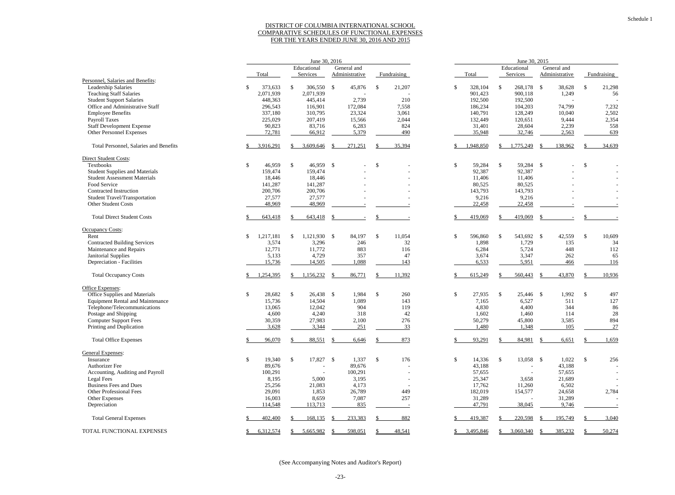## DISTRICT OF COLUMBIA INTERNATIONAL SCHOOL COMPARATIVE SCHEDULES OF AVERAGE COST PER STUDENT FOR THE YEARS ENDED JUNE 30, 2016 AND 2015

June 30, 2016

|                            |       |   | <b>Total Cost</b> |   | <b>Average Cost</b><br>Per Student |
|----------------------------|-------|---|-------------------|---|------------------------------------|
| Instructional              |       | S | 5,665,982         | S | 14,025                             |
| General and Administrative |       |   | 598,051           |   | 1,480                              |
| Fundraising                |       |   | 48,541            |   | 120                                |
|                            | Total |   | 6,312,574         |   | 15,625                             |

The above is the average per student cost for the year ended June 30, 2016, and is based on a full time equivalent (FTE) enrollment of 404 students.

#### June 30, 2015

|                                           |       |   | <b>Total Cost</b> |   | <b>Average Cost</b><br>Per Student |
|-------------------------------------------|-------|---|-------------------|---|------------------------------------|
| Instructional                             |       | S | 3,060,340         | S | 14,574                             |
| General and Administrative<br>Fundraising |       |   | 385,232<br>50,274 |   | 1,834<br>239                       |
|                                           | Total |   | 3,495,846         |   | 16.64'                             |

The above is the average per student cost for the year ended June 30, 2015, and is based on a full time equivalent (FTE) enrollment of 210 students.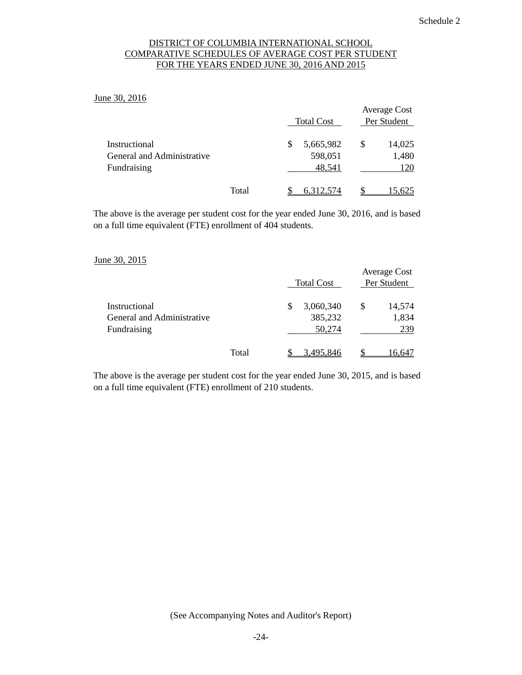# DISTRICT OF COLUMBIA INTERNATIONAL SCHOOL SCHEDULE OF EXPENDITURES OF FEDERAL AWARDS FOR THE YEAR ENDED JUNE 30, 2016

|                                                                                                                                                                    | Federal                       |                                        |           | Program                       |                                                                          |               | Refundable<br>Grant       |                      |   |                                   | <b>Current Year Activity</b>  |              |                            | Refundable   |                       |
|--------------------------------------------------------------------------------------------------------------------------------------------------------------------|-------------------------------|----------------------------------------|-----------|-------------------------------|--------------------------------------------------------------------------|---------------|---------------------------|----------------------|---|-----------------------------------|-------------------------------|--------------|----------------------------|--------------|-----------------------|
| Federal Grantor/Pass Through Grantor Program Title                                                                                                                 | <b>CFDA</b><br>Number         | Pass-Through<br><b>Grantors Number</b> |           | or Award<br>Amount            | Period of Award                                                          |               | Receivable<br>at $7/1/15$ | Advance at<br>7/1/15 |   | Receipts                          | Disbursements<br>Expenditures |              | Receivable<br>at $6/30/16$ |              | Advance at<br>6/30/16 |
| <b>U.S. Department of Education:</b>                                                                                                                               |                               |                                        |           |                               |                                                                          |               |                           |                      |   |                                   |                               |              |                            |              |                       |
| Passed Through the District of Columbia Government:                                                                                                                |                               |                                        |           |                               |                                                                          |               |                           |                      |   |                                   |                               |              |                            |              |                       |
| Title I, Part A, Grants to Local Education Agencies<br>Title I, Part A, Grants to Local Education Agencies<br>Title II, Part A, Preparing, Training and Recruiting | 84.010A<br>84.010A            | 52010A<br>52010A                       | \$.<br>S. | 158,773<br>79,756             | $07/01/15$ to $09/30/16$<br>07/01/14 to 09/30/15                         | <sup>\$</sup> | 10,500                    | -S                   |   | 107,257<br>\$.<br>14,485          | \$<br>106,306<br>3,985        | -8           |                            | -S           | (951)                 |
| <b>High Quality Teachers and Principals</b><br>Title III, English Language Acquisition Grants<br>Special Education - IDEA 611, Grants to Local                     | 84.367A<br>84.365A            | 52367A<br>N/A                          | S<br>\$   | 45,959<br>10,908              | 07/01/15 to 09/30/16<br>07/01/15 to 09/30/16                             |               |                           |                      |   | 26,641<br>5,836                   | 27,880<br>5,934               |              | 1,239<br>98                |              |                       |
| <b>Education Agencies</b><br>Scholarship for Opportunity and Results Act (SOAR)<br>Scholarship for Opportunity and Results Act (SOAR)                              | 84.027A<br>84.370C<br>84.370C | 52027A<br>N/A<br>N/A                   | \$.<br>\$ | 112.332<br>498,500<br>750,000 | 07/01/15 to 09/30/16<br>07/10/15 to 07/10/17<br>$07/10/15$ to $07/10/16$ |               |                           |                      | ٠ | 109,530<br>135,453<br>271,427     | 110,948<br>169,141<br>547,584 |              | 1,418<br>33,688<br>276,157 |              |                       |
| Subtotal Passed through District of Columbia Government                                                                                                            |                               |                                        |           |                               |                                                                          |               | 10,500                    |                      |   | 670,629<br>\$                     | \$971,778                     |              | \$312,600                  |              | (951)                 |
| Passed Through Bridges Public Charter School:                                                                                                                      |                               |                                        |           |                               |                                                                          |               |                           |                      |   |                                   |                               |              |                            |              |                       |
| Title III, English Language Acquisition Grants                                                                                                                     | 84.365A                       | N/A                                    | \$        | 2,087                         | 07/01/14 to 09/30/15                                                     | S.            | 2,087                     |                      |   | 2,087                             |                               |              |                            |              |                       |
| Passed Through E.W. Stokes Public Charter School:                                                                                                                  |                               |                                        |           |                               |                                                                          |               |                           |                      |   |                                   |                               |              |                            |              |                       |
| Scholarship for Opportunity and Results Act (SOAR)<br>Scholarship for Opportunity and Results Act (SOAR)                                                           | 84.370C<br>84.370C            | N/A<br>N/A                             | S<br>\$   | 56,250<br>300,000             | 07/10/15 to 07/10/16<br>02/21/14 to 02/20/15                             | \$            | 25,094                    |                      |   | \$<br>35,000<br>25,094            | \$<br>55,073                  | -S           | 20,073                     |              |                       |
| Subtotal Passed through E.W. Stokes Public Charter School                                                                                                          |                               |                                        |           |                               |                                                                          |               | 25,094                    |                      |   | 60,094                            | 55,073<br>\$                  |              | 20,073                     |              |                       |
| Passed Through Mundo Verde Public Charter School:                                                                                                                  |                               |                                        |           |                               |                                                                          |               |                           |                      |   |                                   |                               |              |                            |              |                       |
| Scholarship for Opportunity and Results Act (SOAR)                                                                                                                 | 84.370C                       | N/A                                    | S.        | 75,000                        | 07/10/15 to 07/10/16                                                     |               |                           |                      |   | 64,958                            | 75,000<br>S.                  | -\$          | 10,042                     |              |                       |
| Passed Through Latin American Montessori Bilingual Public<br>Charter School:                                                                                       |                               |                                        |           |                               |                                                                          |               |                           |                      |   |                                   |                               |              |                            |              |                       |
| Scholarship for Opportunity and Results Act (SOAR)                                                                                                                 | 84.370C                       | N/A                                    | S         | 75,000                        | $07/10/15$ to $07/10/16$                                                 |               |                           |                      |   | 4,645                             | 75,000                        |              | 70,355                     |              |                       |
| Passed Through Washington Yu Ying Public Charter School:                                                                                                           |                               |                                        |           |                               |                                                                          |               |                           |                      |   |                                   |                               |              |                            |              |                       |
| Scholarship for Opportunity and Results Act (SOAR)<br>Scholarship for Opportunity and Results Act (SOAR)                                                           | 84.370C<br>84.370C            | N/A<br>N/A                             | \$.<br>\$ | 525,000<br>75,000             | $02/21/14$ to $02/20/16$<br>07/10/15 to 07/10/16                         | <sup>\$</sup> | 62,046                    |                      |   | 403,314<br>$\mathbb{S}$<br>50,400 | \$341,268<br>73,459           | \$           | 23,059                     | <sup>S</sup> |                       |
| Subtotal Passed through Washington Yu Ying Public<br>Charter School:                                                                                               |                               |                                        |           |                               |                                                                          | \$            | 62,046                    |                      |   | 453,714<br>$\frac{1}{2}$          | \$414,727                     | <sup>S</sup> | 23,059                     |              |                       |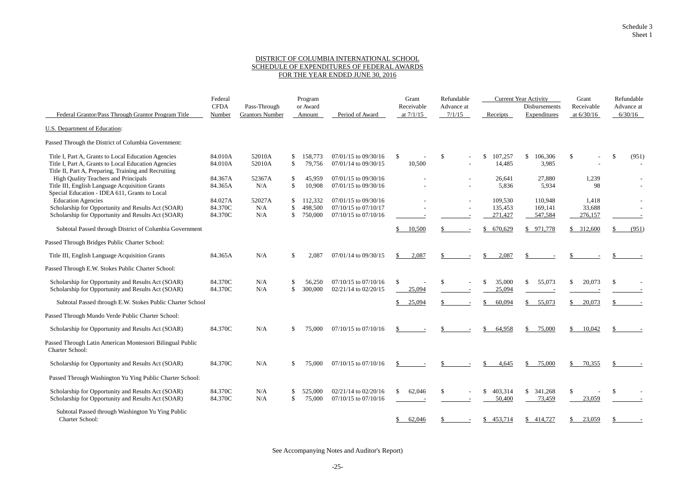#### DISTRICT OF COLUMBIA INTERNATIONAL SCHOOL SCHEDULE OF EXPENDITURES OF FEDERAL AWARDS FOR THE YEAR ENDED JUNE 30, 2016

|                                                                                                                        | Federal                              |                                        |    | Program                  |                                                                                                              |     | Grant                     | Refundable           |                            | <b>Current Year Activity</b>       |               |                                    |     | Grant                      |               | Refundable               |
|------------------------------------------------------------------------------------------------------------------------|--------------------------------------|----------------------------------------|----|--------------------------|--------------------------------------------------------------------------------------------------------------|-----|---------------------------|----------------------|----------------------------|------------------------------------|---------------|------------------------------------|-----|----------------------------|---------------|--------------------------|
| Federal Grantor/Pass Through Grantor Program Title                                                                     | <b>CFDA</b><br><b>Number</b>         | Pass-Through<br><b>Grantors Number</b> |    | or Award<br>Amount       | Period of Award                                                                                              |     | Receivable<br>at $7/1/15$ | Advance at<br>7/1/15 |                            | Receipts                           |               | Disbursements<br>Expenditures      |     | Receivable<br>at $6/30/16$ | <b>CFDA</b>   | 6/30/16                  |
| Passed Through DC Bilingual Public Charter School:                                                                     |                                      |                                        |    |                          |                                                                                                              |     |                           |                      |                            |                                    |               |                                    |     |                            |               |                          |
| Scholarship for Opportunity and Results Act (SOAR)                                                                     | 84.370C                              | N/A                                    |    | 75,000                   | 07/10/15 to 07/10/16                                                                                         | \$  |                           | $\mathcal{S}$        |                            | 50,247                             |               | 72,232                             | -S  | 21,985                     | \$            |                          |
| Passed Through the Flamboyan Foundation:                                                                               |                                      |                                        |    |                          |                                                                                                              |     |                           |                      |                            |                                    |               |                                    |     |                            |               |                          |
| Scholarship for Opportunity and Results Act (SOAR)                                                                     | 84.370C                              | N/A                                    | S. | 10,000                   | $07/10/15$ to $06/30/16$                                                                                     |     |                           |                      |                            | 8,000                              |               | 10,000                             |     | 2,000                      |               |                          |
| Total U.S. Department of Education                                                                                     |                                      |                                        |    |                          |                                                                                                              | \$. | 99,727                    |                      |                            | \$1,314,374                        |               | \$1,673,810                        | -SS | 460,114                    |               | (951)                    |
| U.S. Department of Agriculture:                                                                                        |                                      |                                        |    |                          |                                                                                                              |     |                           |                      |                            |                                    |               |                                    |     |                            |               |                          |
| Passed Through the District of Columbia:                                                                               |                                      |                                        |    |                          |                                                                                                              |     |                           |                      |                            |                                    |               |                                    |     |                            |               |                          |
| National School Lunch Program<br>National School Lunch Program<br>School Breakfast Program<br>School Breakfast Program | 10.555<br>10.555<br>10.553<br>10.553 | N/A<br>N/A<br>N/A<br>N/A               |    | N/A<br>N/A<br>N/A<br>N/A | $07/01/15$ to $06/30/16$<br>$07/01/14$ to $06/30/15$<br>$07/01/15$ to $06/30/16$<br>$07/01/14$ to $06/30/15$ | -S  | 7,099<br>$\sim$<br>1,372  |                      | $\sim$<br>$\sim$<br>$\sim$ | 67,534<br>6,493<br>12,552<br>1,169 | <sup>\$</sup> | 79,335<br>(606)<br>14,363<br>(203) | -\$ | 11,801<br>1,811            | <sup>\$</sup> | $\overline{\phantom{a}}$ |
| Total U.S. Department of Agriculture                                                                                   |                                      |                                        |    |                          |                                                                                                              | \$  | 8,471                     |                      |                            | 87,748                             |               | 92,889                             |     | 13,612                     |               |                          |
| TOTAL FEDERAL AWARDS                                                                                                   |                                      |                                        |    |                          |                                                                                                              |     | \$108,198                 |                      |                            | \$1,402,122                        |               | \$1,766,699                        |     | \$473,726                  |               | (951)                    |

| Summary by CFDA                                                   |             |                           |
|-------------------------------------------------------------------|-------------|---------------------------|
| Program                                                           | CFDA Number | Amount of<br>Expenditures |
| Title I, Part A, Grants to Local Education Agencies               | 84.010A     | 110.291                   |
| Title II, Part A, Preparing, Training and Recruiting High Quality |             |                           |
| <b>Teachers and Principals</b>                                    | 84.367A     | 27,880                    |
| Title III, English Language Acquisition Grants                    | 84.365A     | 5.934                     |
| Special Education - IDEA 611, Grants to Local Education Agencies  | 84.027A     | 110.948                   |
| Scholarship for Opportunity and Results Act (SOAR)                | 84.370C     | 1,418,757                 |
| National School Lunch Program                                     | 10.555      | 78.729                    |
| School Breakfast Program                                          | 10.553      | 14,160                    |
| Total Federal Awards                                              |             | .766.69                   |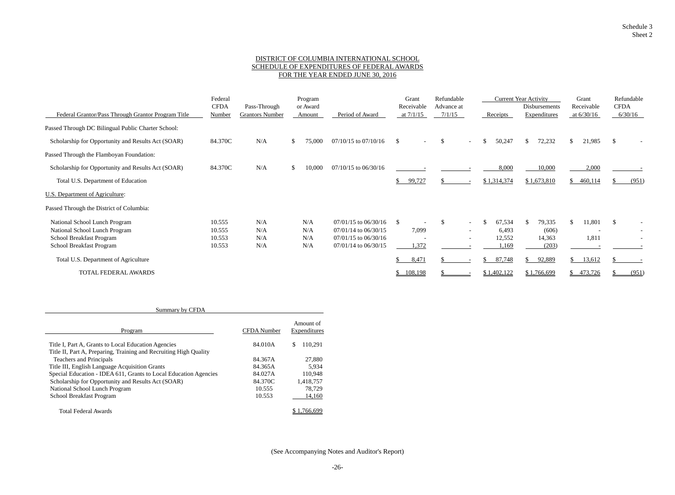## DISTRICT OF COLUMBIA INTERNATIONAL SCHOOL NOTES TO SCHEDULE OF EXPENDITURES OF FEDERAL AWARDS FOR THE YEAR ENDED JUNE 30, 2016

#### Note 1 - Basis of Presentation:

The accompanying schedule of expenditures of federal awards (the Schedule) includes the federal award activity of the School under programs of the federal government for the year ended June 30, 2016. The information in this Schedule is presented in accordance with the requirements of Title 2 U.S. Code of Federal Regulations Part 200, Uniform Administrative Requirements, Cost Principles, and Audit Requirements for Federal Awards (Uniform Guidance). Because the Schedule presents only a selected portion of the operations of the School, it is not intended to and does not present the financial position, changes in net assets, or cash flows of the School.

#### Note 2 - Summary of Significant Accounting Policies:

Expenditures reported on the Schedule are reported on the accrual basis of accounting. Such expenditures are recognized following the cost principles contained in the Uniform Guidance, wherein certain types of expenditures are not allowable or are limited as to reimbursement.

The School has elected not to use the 10 percent de minimis indirect cost rate as allowed under the Uniform Guidance.

| Programs                                                   | CFDA#   | Amount of<br>Expenditures |
|------------------------------------------------------------|---------|---------------------------|
| Title I, Part A, Grants to Local Educational Agencies      | 84.010A | \$<br>110,291             |
| Title II, Part A, Preparing, Training, and Recruiting High |         |                           |
| <b>Quality Teachers and Principals</b>                     | 84.367A | 27,880                    |
| Title III, English Language Acquisition Grants             | 84.365A | 5,934                     |
| Special Education - IDEA 611, Grants to Local Education    |         |                           |
| Agencies                                                   | 84.027A | 110,948                   |
| Scholarship for Opportunity and Results Act (SOAR)         | 84.370C | 1,418,757*                |
| National School Lunch Program                              | 10.553  | 78,729                    |
| School Breakfast Program                                   | 10.555  | 14,160                    |
| Total Federal Awards                                       |         | 766.699                   |

\*Denotes Major Program

### Note 3 - Major Program Disclosure:

Scholarship for Opportunity and Results Act (SOAR)

To provide low-income parents residing in the District of Columbia (District) with expanded options for the education of their children. This program is part of a broader school improvement effort in the District.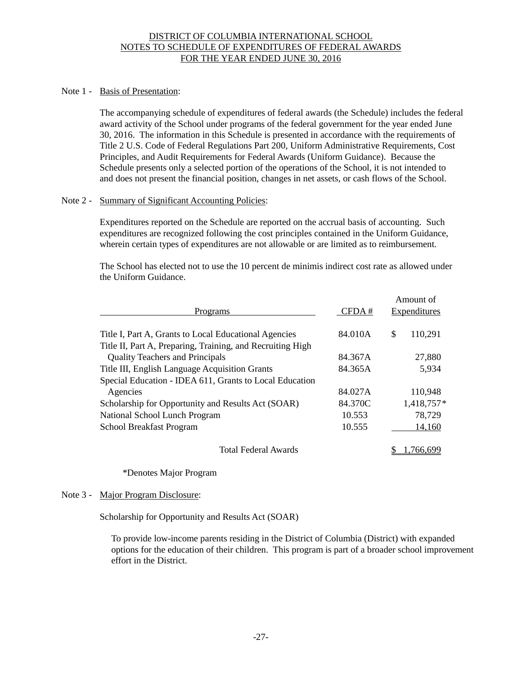Board of Trustees District of Columbia International School 3220 16th Street NW Washington, DC 20010

## INDEPENDENT AUDITOR'S REPORT ON INTERNAL CONTROL OVER FINANCIAL REPORTING AND ON COMPLIANCE AND OTHER MATTERS BASED ON AN AUDIT OF FINANCIAL STATEMENTS PERFORMED IN ACCORDANCE WITH *GOVERNMENT AUDITING STANDARDS*

We have audited, in accordance with auditing standards generally accepted in the United States of America and the standards applicable to financial audits contained in *Government Auditing Standards*, issued by the Comptroller General of the United States, the financial statements of the District of Columbia International School (a nonprofit organization), which comprise the statement of financial position as of June 30, 2016, and the related statements of activities and cash flows for the year then ended, and the related notes to the financial statements, and have issued our report thereon dated November 22, 2016.

### *Internal Control Over Financial Reporting*

In planning and performing our audit of the financial statements, we considered the District of Columbia International School's internal control over financial reporting (internal control) to determine the audit procedures that are appropriate in the circumstances for the purpose of expressing our opinion on the financial statements, but not for the purpose of expressing an opinion on the effectiveness of the District of Columbia International School's internal control. Accordingly, we do not express an opinion on the effectiveness of the Organization's internal control.

A *deficiency in internal control* exists when the design or operation of a control does not allow management or employees, in the normal course of performing their assigned functions, to prevent, or detect and correct, misstatements on a timely basis. A *material weakness* is a deficiency, or a combination of deficiencies, in internal control, such that there is a reasonable possibility that a material misstatement of the entity's financial statements will not be prevented, or detected and corrected on a timely basis. A *significant deficiency* is a deficiency, or a combination of deficiencies, in internal control that is less severe than a material weakness, yet important enough to merit attention by those charged with governance.

Our consideration of internal control was for the limited purpose described in the first paragraph of this section and was not designed to identify all deficiencies in internal control that might be material weaknesses or significant deficiencies. Given these limitations, during our audit we did not identify any deficiencies in internal control that we consider to be material weaknesses. However, material weaknesses may exist that have not been identified.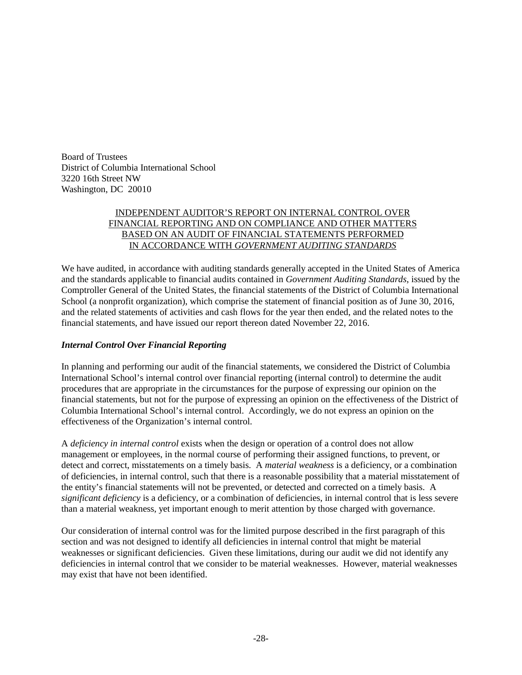## *Compliance and Other Matters*

As part of obtaining reasonable assurance about whether the District of Columbia International School's financial statements are free from material misstatement, we performed tests of its compliance with certain provisions of laws, regulations, contracts and grant agreements, noncompliance with which could have a direct and material effect on the determination of financial statement amounts. However, providing an opinion on compliance with those provisions was not an objective of our audit and accordingly, we do not express such an opinion. The results of our tests disclosed no instances of noncompliance or other matters that are required to be reported under *Government Auditing Standards*.

# *Purpose of this Report*

The purpose of this report is solely to describe the scope of our testing of internal control and compliance and the results of that testing, and not to provide an opinion on the effectiveness of the entity's internal control or on compliance. This report is an integral part of an audit performed in accordance with *Government Auditing Standards* in considering the organization's internal control and compliance. Accordingly, this communication is not suitable for any other purpose.

> Kendall, Prebola and Jones Certified Public Accountants

Bedford, Pennsylvania November 22, 2016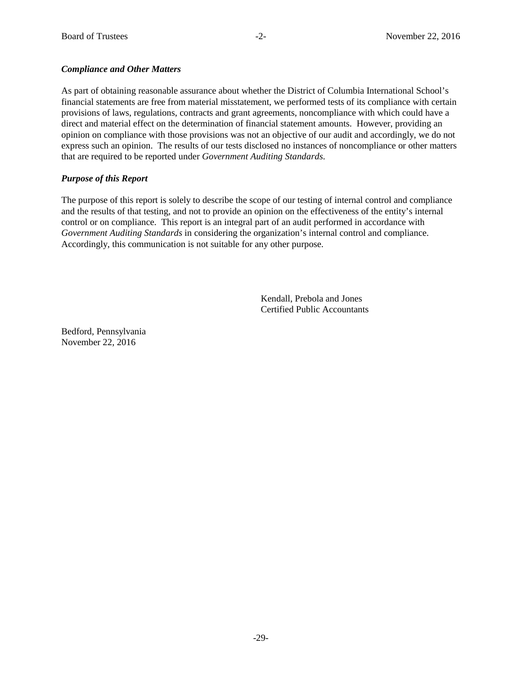The Board of Trustees District of Columbia International School 3220 16th Street NW Washington, DC 20010

### INDEPENDENT AUDITOR'S REPORT ON COMPLIANCE FOR EACH MAJOR PROGRAM AND ON INTERNAL CONTROL OVER COMPLIANCE REQUIRED BY THE UNIFORM GUIDANCE

#### *Report on Compliance for Each Major Federal Program*

We have audited the District of Columbia International School's (a nonprofit organization) compliance with the types of compliance requirements described in the *Compliance Supplement* that could have a direct and material effect on each of District of Columbia International School's major federal programs for the year ended June 30, 2016. The District of Columbia International School's major federal programs are identified in the summary of auditor's results section of the accompanying schedule of findings and questioned costs and in the notes to the Schedule of Expenditures of Federal Awards.

#### *Management's Responsibility*

Management is responsible for compliance with federal statutes, regulations, and terms and conditions of its federal awards applicable to its federal programs.

#### *Auditor's Responsibility*

Our responsibility is to express an opinion on compliance for each of the District of Columbia International School's major federal programs based on our audit of the types of compliance requirements referred to above. We conducted our audit of compliance in accordance with auditing standards generally accepted in the United States of America; the standards applicable to financial audits contained in *Government Auditing Standards*, issued by the Comptroller General of the United States; and the audit requirements of Title 2 U.S. Code of Federal Regulations Part 200, *Uniform Administrative Requirements, Cost Principles, and Audit Requirements for Federal Awards* (Uniform Guidance). Those standards and the Uniform Guidance require that we plan and perform the audit to obtain reasonable assurance about whether noncompliance with the types of compliance requirements referred to above that could have a direct and material effect on a major federal program occurred. An audit includes examining, on a test basis, evidence about the District of Columbia International School's compliance with those requirements and performing such other procedures as we considered necessary in the circumstances.

We believe that our audit provides a reasonable basis for our opinion on compliance for each major federal program. However, our audit does not provide a legal determination of the District of Columbia International School's compliance.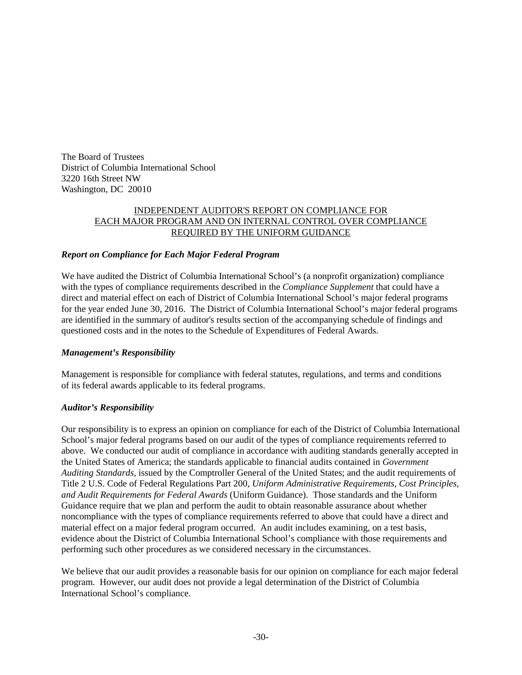# *Opinion on Each Major Federal Award Program*

In our opinion, the District of Columbia International School, complied, in all material respects, with the types of compliance requirements referred to above that could have a direct and material effect on each of its major federal programs for the year ended June 30, 2016.

## *Report on Internal Control Over Compliance*

Management of the District of Columbia International School is responsible for establishing and maintaining effective internal control over compliance with the types of requirements referred to above. In planning and performing our audit of compliance, we considered the District of Columbia International School's internal control over compliance with the types of requirements that could have a direct and material effect on each major federal program to determine the auditing procedures that are appropriate in the circumstances for the purpose of expressing an opinion on compliance for each major federal program and to test and report on internal control over compliance in accordance with the Uniform Guidance, but not for the purpose of expressing an opinion on the effectiveness of internal control over compliance. Accordingly, we do not express an opinion on the effectiveness of the District of Columbia International School's internal control over compliance.

A *deficiency in internal control over compliance* exists when the design or operation of a control over compliance does not allow management or employees, in the normal course of performing their assigned functions, to prevent, or detect and correct, noncompliance with a type of compliance requirement of a federal program on a timely basis. A *material weakness in internal control over compliance* is a deficiency, or a combination of deficiencies, in internal control over compliance, such that there is a reasonable possibility that material noncompliance with a type of compliance requirement of a federal program will not be prevented, or detected and corrected, on a timely basis. A *significant deficiency in internal control over compliance* is a deficiency, or a combination of deficiencies, in internal control over compliance with a type of compliance requirement of a federal program that is less severe than a material weakness in internal control over compliance, yet important enough to merit attention by those charged with governance.

Our consideration of internal control over compliance was for the limited purpose described in the first paragraph of this section and was not designed to identify all deficiencies in internal control over compliance that might be material weaknesses or significant deficiencies. We did not identify any deficiencies in internal control over compliance that we consider to be material weaknesses. However, material weaknesses may exist that have not been identified.

The purpose of this report on internal control over compliance is solely to describe the scope of our testing of internal control over compliance and the results of that testing based on the requirements of the Uniform Guidance. Accordingly, this report is not suitable for any other purpose.

> Kendall, Prebola and Jones Certified Public Accountants

Bedford, Pennsylvania November 22, 2016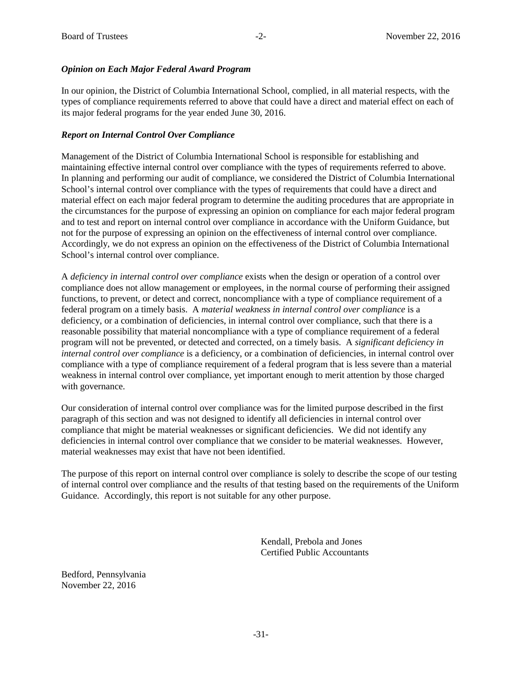# DISTRICT OF COLUMBIA INTERNATIONAL SCHOOL SUMMARY SCHEDULE OF PRIOR AUDIT FINDINGS FOR THE YEAR ENDED JUNE 30, 2016

There were no findings reported in the prior year.